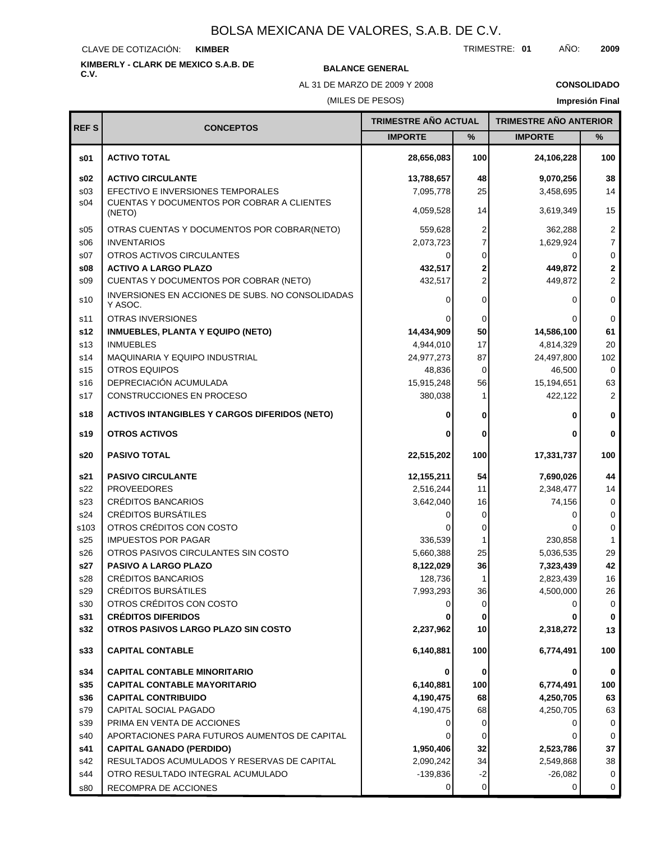### CLAVE DE COTIZACIÓN: **KIMBER**

# **KIMBERLY - CLARK DE MEXICO S.A.B. DE C.V. BALANCE GENERAL**

AL 31 DE MARZO DE 2009 Y 2008

### **CONSOLIDADO**

(MILES DE PESOS)

**Impresión Final**

| <b>REFS</b>     | <b>CONCEPTOS</b>                                            | <b>TRIMESTRE AÑO ACTUAL</b> |                | <b>TRIMESTRE AÑO ANTERIOR</b> |                |
|-----------------|-------------------------------------------------------------|-----------------------------|----------------|-------------------------------|----------------|
|                 |                                                             | <b>IMPORTE</b>              | $\%$           | <b>IMPORTE</b>                | $\%$           |
| s01             | <b>ACTIVO TOTAL</b>                                         | 28,656,083                  | 100            | 24,106,228                    | 100            |
| s02             | <b>ACTIVO CIRCULANTE</b>                                    | 13,788,657                  | 48             | 9,070,256                     | 38             |
| s03             | EFECTIVO E INVERSIONES TEMPORALES                           | 7,095,778                   | 25             | 3,458,695                     | 14             |
| s04             | CUENTAS Y DOCUMENTOS POR COBRAR A CLIENTES<br>(NETO)        | 4,059,528                   | 14             | 3,619,349                     | 15             |
| s05             | OTRAS CUENTAS Y DOCUMENTOS POR COBRAR(NETO)                 | 559,628                     | 2              | 362,288                       | $\overline{c}$ |
| \$06            | <b>INVENTARIOS</b>                                          | 2,073,723                   | $\overline{7}$ | 1,629,924                     | $\overline{7}$ |
| s07             | OTROS ACTIVOS CIRCULANTES                                   |                             | 0              | $\Omega$                      | $\mathsf 0$    |
| s08             | <b>ACTIVO A LARGO PLAZO</b>                                 | 432,517                     | 2              | 449,872                       | $\mathbf 2$    |
| S <sub>09</sub> | CUENTAS Y DOCUMENTOS POR COBRAR (NETO)                      | 432,517                     | $\overline{2}$ | 449,872                       | $\overline{2}$ |
| s10             | INVERSIONES EN ACCIONES DE SUBS. NO CONSOLIDADAS<br>Y ASOC. |                             | 0              | 0                             | $\mathbf 0$    |
| s11             | <b>OTRAS INVERSIONES</b>                                    |                             | 0              | 0                             | 0              |
| s12             | <b>INMUEBLES, PLANTA Y EQUIPO (NETO)</b>                    | 14,434,909                  | 50             | 14,586,100                    | 61             |
| s13             | <b>INMUEBLES</b>                                            | 4,944,010                   | 17             | 4,814,329                     | 20             |
| s14             | MAQUINARIA Y EQUIPO INDUSTRIAL                              | 24,977,273                  | 87             | 24,497,800                    | 102            |
| s15             | <b>OTROS EQUIPOS</b>                                        | 48,836                      | 0              | 46,500                        | 0              |
| s16             | DEPRECIACIÓN ACUMULADA                                      | 15,915,248                  | 56             | 15,194,651                    | 63             |
| s17             | CONSTRUCCIONES EN PROCESO                                   | 380,038                     | 1              | 422,122                       | $\overline{2}$ |
| s18             | <b>ACTIVOS INTANGIBLES Y CARGOS DIFERIDOS (NETO)</b>        |                             | 0              | 0                             | 0              |
| s19             | <b>OTROS ACTIVOS</b>                                        |                             | $\bf{0}$       |                               | $\bf{0}$       |
| s20             | <b>PASIVO TOTAL</b>                                         | 22,515,202                  | 100            | 17,331,737                    | 100            |
| s21             | <b>PASIVO CIRCULANTE</b>                                    | 12,155,211                  | 54             | 7,690,026                     | 44             |
| s22             | <b>PROVEEDORES</b>                                          | 2,516,244                   | 11             | 2,348,477                     | 14             |
| s23             | CRÉDITOS BANCARIOS                                          | 3,642,040                   | 16             | 74,156                        | $\mathbf 0$    |
| s24             | <b>CRÉDITOS BURSÁTILES</b>                                  |                             | 0              | 0                             | $\mathbf 0$    |
| s103            | OTROS CRÉDITOS CON COSTO                                    |                             | 0              | 0                             | $\mathbf 0$    |
| s25             | <b>IMPUESTOS POR PAGAR</b>                                  | 336,539                     | 1              | 230,858                       | $\mathbf 1$    |
| s26             | OTROS PASIVOS CIRCULANTES SIN COSTO                         | 5,660,388                   | 25             | 5,036,535                     | 29             |
| s27             | PASIVO A LARGO PLAZO                                        | 8,122,029                   | 36             | 7,323,439                     | 42             |
| s28             | <b>CRÉDITOS BANCARIOS</b>                                   | 128,736                     | 1              | 2,823,439                     | 16             |
| $\sf{s29}$      | <b>CRÉDITOS BURSÁTILES</b><br>OTROS CRÉDITOS CON COSTO      | 7,993,293                   | 36             | 4,500,000                     | 26             |
| s30<br>s31      | <b>CRÉDITOS DIFERIDOS</b>                                   |                             | 0<br>0         | 0                             | 0<br>0         |
| s32             | OTROS PASIVOS LARGO PLAZO SIN COSTO                         | 2,237,962                   | 10             | 2,318,272                     | 13             |
| s33             | <b>CAPITAL CONTABLE</b>                                     | 6,140,881                   | 100            | 6,774,491                     | 100            |
| s34             | <b>CAPITAL CONTABLE MINORITARIO</b>                         | 0                           | 0              | 0                             | 0              |
| s35             | <b>CAPITAL CONTABLE MAYORITARIO</b>                         | 6,140,881                   | 100            | 6,774,491                     | 100            |
| s36             | <b>CAPITAL CONTRIBUIDO</b>                                  | 4,190,475                   | 68             | 4,250,705                     | 63             |
| s79             | CAPITAL SOCIAL PAGADO                                       | 4,190,475                   | 68             | 4,250,705                     | 63             |
| s39             | PRIMA EN VENTA DE ACCIONES                                  |                             | 0              | 0                             | 0              |
| s40             | APORTACIONES PARA FUTUROS AUMENTOS DE CAPITAL               |                             | 0              | 0                             | 0              |
| s41             | <b>CAPITAL GANADO (PERDIDO)</b>                             | 1,950,406                   | 32             | 2,523,786                     | 37             |
| s42             | RESULTADOS ACUMULADOS Y RESERVAS DE CAPITAL                 | 2,090,242                   | 34             | 2,549,868                     | 38             |
| s44             | OTRO RESULTADO INTEGRAL ACUMULADO                           | -139,836                    | $-2$           | $-26,082$                     | 0              |
| s80             | RECOMPRA DE ACCIONES                                        | 0                           | 0              | 0                             | 0              |

TRIMESTRE: **01** AÑO: **2009**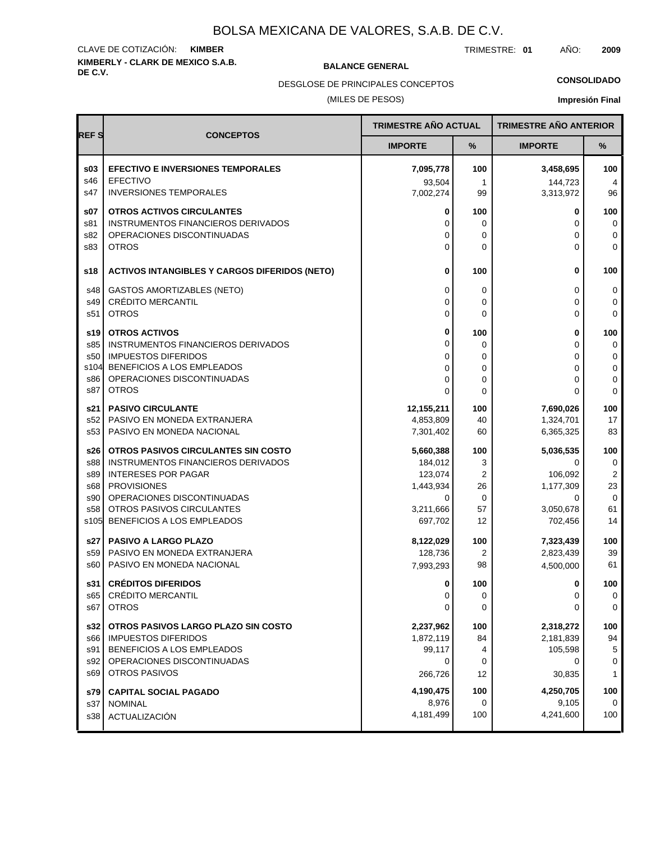# **KIMBERLY - CLARK DE MEXICO S.A.B.** CLAVE DE COTIZACIÓN: **KIMBER**

**BALANCE GENERAL** 

TRIMESTRE: **01** AÑO: **2009**

**CONSOLIDADO**

(MILES DE PESOS) DESGLOSE DE PRINCIPALES CONCEPTOS

# **Impresión Final**

| <b>REFS</b> |                                                                  | <b>TRIMESTRE AÑO ACTUAL</b> |                     | <b>TRIMESTRE AÑO ANTERIOR</b> |                       |
|-------------|------------------------------------------------------------------|-----------------------------|---------------------|-------------------------------|-----------------------|
|             | <b>CONCEPTOS</b>                                                 | <b>IMPORTE</b>              | %                   | <b>IMPORTE</b>                | %                     |
| \$03<br>s46 | <b>EFECTIVO E INVERSIONES TEMPORALES</b><br><b>EFECTIVO</b>      | 7,095,778<br>93,504         | 100<br>$\mathbf{1}$ | 3,458,695<br>144,723          | 100<br>$\overline{4}$ |
| s47         | <b>INVERSIONES TEMPORALES</b>                                    | 7,002,274                   | 99                  | 3,313,972                     | 96                    |
| \$07        | <b>OTROS ACTIVOS CIRCULANTES</b>                                 | 0                           | 100                 | 0                             | 100                   |
| s81<br>s82  | INSTRUMENTOS FINANCIEROS DERIVADOS<br>OPERACIONES DISCONTINUADAS | 0<br>0                      | 0<br>0              | 0<br>0                        | 0<br>$\mathbf 0$      |
| s83         | <b>OTROS</b>                                                     | 0                           | $\mathbf{0}$        | 0                             | $\mathbf 0$           |
| s18         | <b>ACTIVOS INTANGIBLES Y CARGOS DIFERIDOS (NETO)</b>             | 0                           | 100                 | 0                             | 100                   |
| s48         | <b>GASTOS AMORTIZABLES (NETO)</b>                                | 0                           | 0                   | 0                             | 0                     |
| s49         | <b>CRÉDITO MERCANTIL</b>                                         | 0                           | 0                   | 0                             | 0                     |
| s51         | <b>OTROS</b>                                                     | 0                           | $\mathbf{0}$        | 0                             | $\mathbf 0$           |
| s19         | <b>OTROS ACTIVOS</b>                                             | 0                           | 100                 | 0                             | 100                   |
| s85         | INSTRUMENTOS FINANCIEROS DERIVADOS                               | 0                           | 0                   | 0                             | 0                     |
| s50<br>s104 | <b>IMPUESTOS DIFERIDOS</b><br>BENEFICIOS A LOS EMPLEADOS         | 0<br>0                      | 0<br>0              | 0<br>0                        | $\mathbf 0$<br>0      |
| s86         | OPERACIONES DISCONTINUADAS                                       | 0                           | 0                   | 0                             | 0                     |
| s87         | <b>OTROS</b>                                                     | $\Omega$                    | $\mathbf{0}$        | $\Omega$                      | $\mathbf 0$           |
| s21         | <b>PASIVO CIRCULANTE</b>                                         | 12,155,211                  | 100                 | 7,690,026                     | 100                   |
| s52         | PASIVO EN MONEDA EXTRANJERA                                      | 4,853,809                   | 40                  | 1,324,701                     | 17                    |
| s53         | PASIVO EN MONEDA NACIONAL                                        | 7,301,402                   | 60                  | 6,365,325                     | 83                    |
| s26         | OTROS PASIVOS CIRCULANTES SIN COSTO                              | 5,660,388                   | 100                 | 5,036,535                     | 100                   |
| s88         | INSTRUMENTOS FINANCIEROS DERIVADOS<br><b>INTERESES POR PAGAR</b> | 184,012                     | 3<br>2              | 0                             | 0                     |
| s89<br>s68  | <b>PROVISIONES</b>                                               | 123,074<br>1,443,934        | 26                  | 106,092<br>1,177,309          | 2<br>23               |
| s90         | OPERACIONES DISCONTINUADAS                                       | 0                           | 0                   | 0                             | $\mathbf 0$           |
| s58         | OTROS PASIVOS CIRCULANTES                                        | 3,211,666                   | 57                  | 3,050,678                     | 61                    |
| s105        | BENEFICIOS A LOS EMPLEADOS                                       | 697,702                     | 12                  | 702,456                       | 14                    |
| s27         | <b>PASIVO A LARGO PLAZO</b>                                      | 8,122,029                   | 100                 | 7,323,439                     | 100                   |
| s59         | PASIVO EN MONEDA EXTRANJERA                                      | 128,736                     | 2                   | 2,823,439                     | 39                    |
| s60         | PASIVO EN MONEDA NACIONAL                                        | 7,993,293                   | 98                  | 4,500,000                     | 61                    |
| s31         | <b>CRÉDITOS DIFERIDOS</b>                                        | 0                           | 100                 | 0                             | 100                   |
| s65         | CRÉDITO MERCANTIL                                                | 0                           | 0                   | 0                             | 0                     |
| s67         | <b>OTROS</b>                                                     | 0                           | 0                   | 0                             | 0                     |
| s32         | OTROS PASIVOS LARGO PLAZO SIN COSTO                              | 2,237,962                   | 100                 | 2,318,272                     | 100                   |
| s66<br>s91  | <b>IMPUESTOS DIFERIDOS</b><br>BENEFICIOS A LOS EMPLEADOS         | 1,872,119<br>99,117         | 84<br>4             | 2,181,839<br>105,598          | 94<br>5               |
| s92         | OPERACIONES DISCONTINUADAS                                       | 0                           | 0                   | 0                             | 0                     |
| s69         | <b>OTROS PASIVOS</b>                                             | 266,726                     | 12                  | 30,835                        | $\mathbf{1}$          |
| s79         | <b>CAPITAL SOCIAL PAGADO</b>                                     | 4,190,475                   | 100                 | 4,250,705                     | 100                   |
| s37         | <b>NOMINAL</b>                                                   | 8,976                       | 0                   | 9,105                         | 0                     |
| s38         | ACTUALIZACIÓN                                                    | 4,181,499                   | 100                 | 4,241,600                     | 100                   |
|             |                                                                  |                             |                     |                               |                       |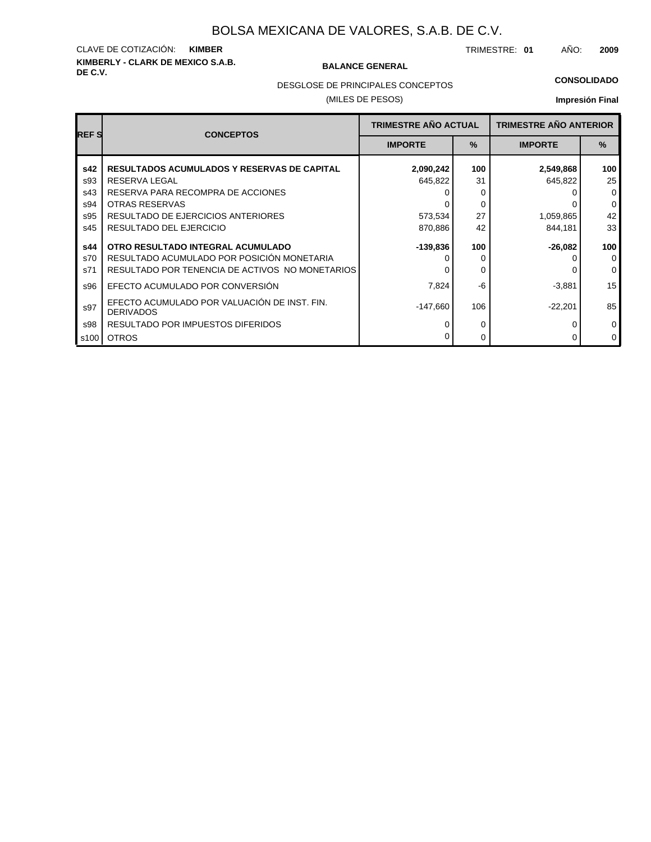# **KIMBERLY - CLARK DE MEXICO S.A.B.** CLAVE DE COTIZACIÓN: **KIMBER**

### **BALANCE GENERAL**

TRIMESTRE: **01** AÑO: **2009**

### **CONSOLIDADO**

DESGLOSE DE PRINCIPALES CONCEPTOS

### (MILES DE PESOS)

### **Impresión Final**

| <b>REFS</b> | <b>CONCEPTOS</b>                                                 | <b>TRIMESTRE AÑO ACTUAL</b> |               | <b>TRIMESTRE AÑO ANTERIOR</b> |             |
|-------------|------------------------------------------------------------------|-----------------------------|---------------|-------------------------------|-------------|
|             |                                                                  | <b>IMPORTE</b>              | $\frac{9}{6}$ | <b>IMPORTE</b>                | $\%$        |
| s42         | <b>RESULTADOS ACUMULADOS Y RESERVAS DE CAPITAL</b>               | 2,090,242                   | 100           | 2,549,868                     | 100         |
| s93         | RESERVA LEGAL                                                    | 645,822                     | 31            | 645,822                       | 25          |
| s43         | RESERVA PARA RECOMPRA DE ACCIONES                                |                             | 0             |                               | $\mathbf 0$ |
| s94         | <b>OTRAS RESERVAS</b>                                            |                             | 0             |                               | 0           |
| s95         | RESULTADO DE EJERCICIOS ANTERIORES                               | 573,534                     | 27            | 1,059,865                     | 42          |
| s45         | RESULTADO DEL EJERCICIO                                          | 870,886                     | 42            | 844,181                       | 33          |
| s44         | OTRO RESULTADO INTEGRAL ACUMULADO                                | -139,836                    | 100           | -26,082                       | 100         |
| s70         | RESULTADO ACUMULADO POR POSICIÓN MONETARIA                       |                             | 0             |                               | $\mathbf 0$ |
| s71         | RESULTADO POR TENENCIA DE ACTIVOS NO MONETARIOS                  |                             | 0             |                               | $\mathbf 0$ |
| s96         | EFECTO ACUMULADO POR CONVERSIÓN                                  | 7,824                       | -6            | $-3,881$                      | 15          |
| s97         | EFECTO ACUMULADO POR VALUACIÓN DE INST. FIN.<br><b>DERIVADOS</b> | $-147,660$                  | 106           | $-22,201$                     | 85          |
| s98         | RESULTADO POR IMPUESTOS DIFERIDOS                                |                             | 0             |                               | 0           |
| s100        | <b>OTROS</b>                                                     |                             | 0             |                               | 0           |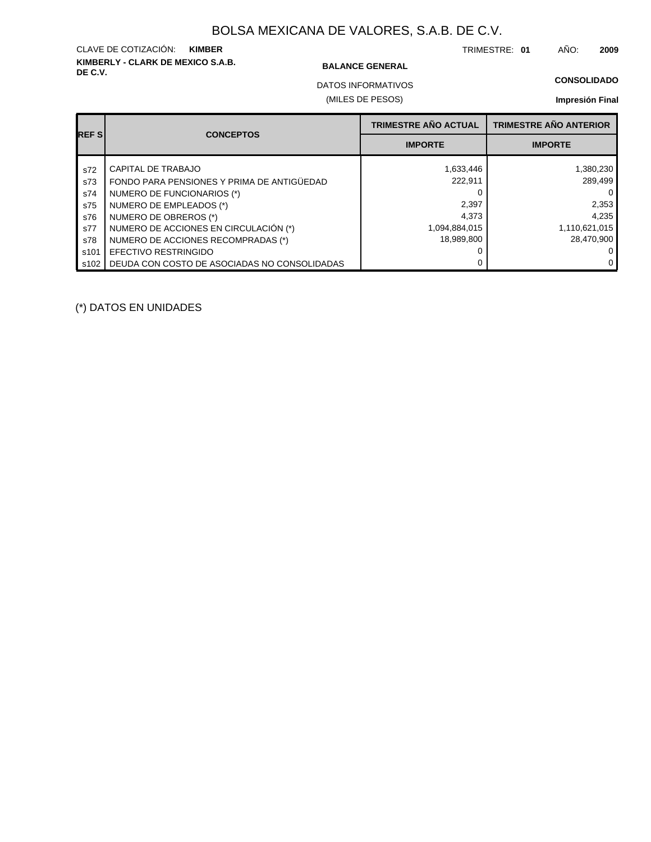# **KIMBERLY - CLARK DE MEXICO S.A.B.** CLAVE DE COTIZACIÓN: **KIMBER**

### **BALANCE GENERAL**

TRIMESTRE: **01** AÑO: **2009**

**CONSOLIDADO**

(MILES DE PESOS) DATOS INFORMATIVOS

**Impresión Final**

| <b>REFS</b> | <b>CONCEPTOS</b>                             | TRIMESTRE AÑO ACTUAL | <b>TRIMESTRE AÑO ANTERIOR</b> |
|-------------|----------------------------------------------|----------------------|-------------------------------|
|             |                                              | <b>IMPORTE</b>       | <b>IMPORTE</b>                |
| s72         | CAPITAL DE TRABAJO                           | 1,633,446            | 1,380,230                     |
| s73         | FONDO PARA PENSIONES Y PRIMA DE ANTIGÜEDAD   | 222.911              | 289,499                       |
| s74         | NUMERO DE FUNCIONARIOS (*)                   |                      | 0                             |
| s75         | NUMERO DE EMPLEADOS (*)                      | 2,397                | 2,353                         |
| s76         | NUMERO DE OBREROS (*)                        | 4,373                | 4,235                         |
| s77         | NUMERO DE ACCIONES EN CIRCULACIÓN (*)        | 1,094,884,015        | 1,110,621,015                 |
| s78         | NUMERO DE ACCIONES RECOMPRADAS (*)           | 18,989,800           | 28,470,900                    |
| s101        | <b>EFECTIVO RESTRINGIDO</b>                  |                      | 0                             |
| s102        | DEUDA CON COSTO DE ASOCIADAS NO CONSOLIDADAS |                      | $\Omega$                      |

(\*) DATOS EN UNIDADES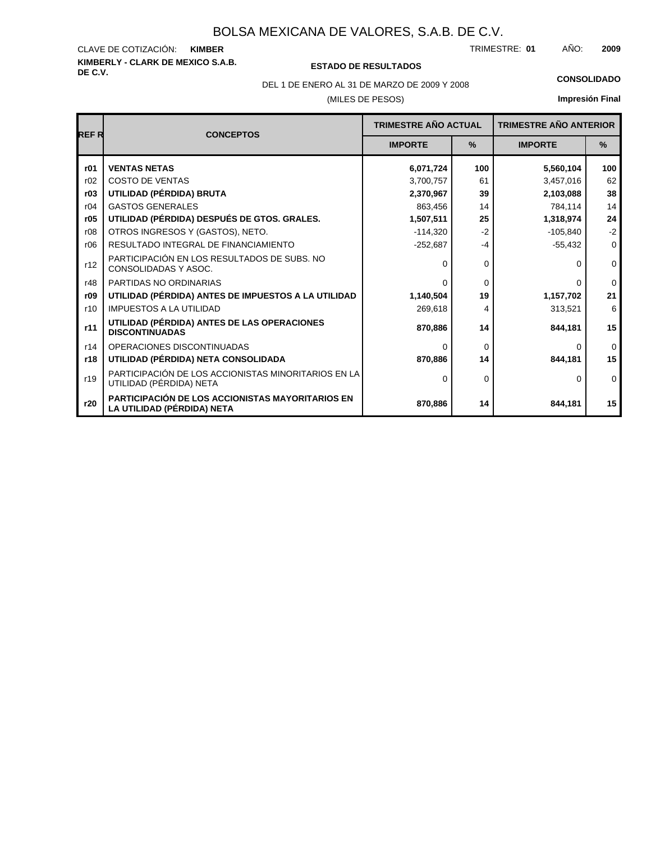# **KIMBERLY - CLARK DE MEXICO S.A.B.** CLAVE DE COTIZACIÓN:

### **DE C.V. ESTADO DE RESULTADOS**

TRIMESTRE: AÑO: **KIMBER 01 2009**

DEL 1 DE ENERO AL 31 DE MARZO DE 2009 Y 2008 **CONSOLIDADO**

# (MILES DE PESOS)

# **Impresión Final**

| <b>REFR</b> | <b>CONCEPTOS</b>                                                                      | <b>TRIMESTRE AÑO ACTUAL</b> |          | <b>TRIMESTRE AÑO ANTERIOR</b> |             |
|-------------|---------------------------------------------------------------------------------------|-----------------------------|----------|-------------------------------|-------------|
|             |                                                                                       | <b>IMPORTE</b>              | %        | <b>IMPORTE</b>                | %           |
| r01         | <b>VENTAS NETAS</b>                                                                   | 6,071,724                   | 100      | 5,560,104                     | 100         |
| r02         | <b>COSTO DE VENTAS</b>                                                                | 3,700,757                   | 61       | 3,457,016                     | 62          |
| r03         | UTILIDAD (PÉRDIDA) BRUTA                                                              | 2,370,967                   | 39       | 2,103,088                     | 38          |
| r04         | <b>GASTOS GENERALES</b>                                                               | 863,456                     | 14       | 784,114                       | 14          |
| r05         | UTILIDAD (PÉRDIDA) DESPUÉS DE GTOS. GRALES.                                           | 1,507,511                   | 25       | 1,318,974                     | 24          |
| r08         | OTROS INGRESOS Y (GASTOS), NETO.                                                      | $-114,320$                  | $-2$     | $-105,840$                    | $-2$        |
| r06         | RESULTADO INTEGRAL DE FINANCIAMIENTO                                                  | $-252,687$                  | $-4$     | $-55,432$                     | $\mathbf 0$ |
| r12         | PARTICIPACIÓN EN LOS RESULTADOS DE SUBS. NO<br>CONSOLIDADAS Y ASOC.                   | $\Omega$                    | $\Omega$ | <sup>0</sup>                  | $\mathbf 0$ |
| r48         | PARTIDAS NO ORDINARIAS                                                                | $\Omega$                    | $\Omega$ | $\Omega$                      | $\Omega$    |
| r09         | UTILIDAD (PÉRDIDA) ANTES DE IMPUESTOS A LA UTILIDAD                                   | 1,140,504                   | 19       | 1,157,702                     | 21          |
| r10         | <b>IMPUESTOS A LA UTILIDAD</b>                                                        | 269,618                     | 4        | 313,521                       | 6           |
| r11         | UTILIDAD (PÉRDIDA) ANTES DE LAS OPERACIONES<br><b>DISCONTINUADAS</b>                  | 870.886                     | 14       | 844.181                       | 15          |
| r14         | OPERACIONES DISCONTINUADAS                                                            | $\Omega$                    | $\Omega$ | 0                             | $\Omega$    |
| r18         | UTILIDAD (PÉRDIDA) NETA CONSOLIDADA                                                   | 870,886                     | 14       | 844,181                       | 15          |
| r19         | PARTICIPACIÓN DE LOS ACCIONISTAS MINORITARIOS EN LA<br>UTILIDAD (PÉRDIDA) NETA        | $\Omega$                    | $\Omega$ | 0                             | $\mathbf 0$ |
| r20         | <b>PARTICIPACIÓN DE LOS ACCIONISTAS MAYORITARIOS EN</b><br>LA UTILIDAD (PÉRDIDA) NETA | 870,886                     | 14       | 844,181                       | 15          |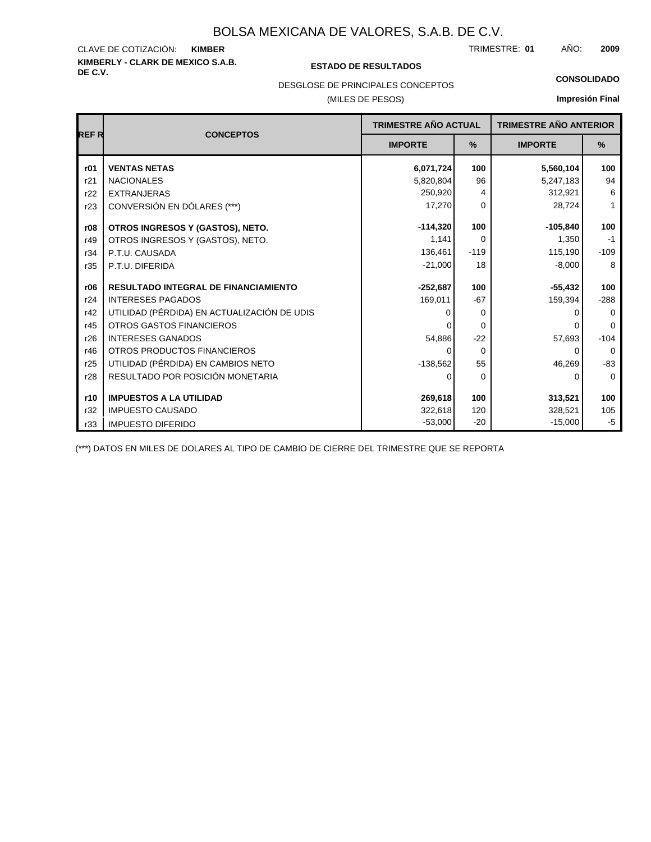# **KIMBERLY - CLARK DE MEXICO S.A.B.** CLAVE DE COTIZACIÓN:

### **DE C.V. ESTADO DE RESULTADOS**

TRIMESTRE: AÑO: **KIMBER 01 2009**

**CONSOLIDADO**

# DESGLOSE DE PRINCIPALES CONCEPTOS

### (MILES DE PESOS)

# **Impresión Final**

| <b>REFR</b> | <b>CONCEPTOS</b>                            | <b>TRIMESTRE AÑO ACTUAL</b> |          | <b>TRIMESTRE AÑO ANTERIOR</b> |             |  |
|-------------|---------------------------------------------|-----------------------------|----------|-------------------------------|-------------|--|
|             |                                             | <b>IMPORTE</b>              | %        | <b>IMPORTE</b>                | %           |  |
| r01         | <b>VENTAS NETAS</b>                         | 6,071,724                   | 100      | 5,560,104                     | 100         |  |
| r21         | <b>NACIONALES</b>                           | 5,820,804                   | 96       | 5,247,183                     | 94          |  |
| r22         | <b>EXTRANJERAS</b>                          | 250,920                     | 4        | 312,921                       | 6           |  |
| r23         | CONVERSIÓN EN DÓLARES (***)                 | 17,270                      | $\Omega$ | 28,724                        | 1           |  |
| r08         | OTROS INGRESOS Y (GASTOS), NETO.            | $-114,320$                  | 100      | $-105,840$                    | 100         |  |
| r49         | OTROS INGRESOS Y (GASTOS), NETO.            | 1,141                       | $\Omega$ | 1,350                         | $-1$        |  |
| r34         | P.T.U. CAUSADA                              | 136,461                     | $-119$   | 115,190                       | $-109$      |  |
| r35         | P.T.U. DIFERIDA                             | $-21,000$                   | 18       | $-8,000$                      | 8           |  |
| r06         | <b>RESULTADO INTEGRAL DE FINANCIAMIENTO</b> | $-252,687$                  | 100      | $-55,432$                     | 100         |  |
| r24         | <b>INTERESES PAGADOS</b>                    | 169,011                     | $-67$    | 159,394                       | $-288$      |  |
| r42         | UTILIDAD (PÉRDIDA) EN ACTUALIZACIÓN DE UDIS | O                           | $\Omega$ | O                             | $\Omega$    |  |
| r45         | <b>OTROS GASTOS FINANCIEROS</b>             |                             | $\Omega$ |                               | $\Omega$    |  |
| r26         | <b>INTERESES GANADOS</b>                    | 54,886                      | $-22$    | 57,693                        | $-104$      |  |
| r46         | OTROS PRODUCTOS FINANCIEROS                 | 0                           | $\Omega$ | 0                             | $\Omega$    |  |
| r25         | UTILIDAD (PÉRDIDA) EN CAMBIOS NETO          | $-138,562$                  | 55       | 46,269                        | $-83$       |  |
| r28         | RESULTADO POR POSICIÓN MONETARIA            | $\Omega$                    | $\Omega$ | 0                             | $\mathbf 0$ |  |
| r10         | <b>IMPUESTOS A LA UTILIDAD</b>              | 269,618                     | 100      | 313,521                       | 100         |  |
| r32         | <b>IMPUESTO CAUSADO</b>                     | 322,618                     | 120      | 328,521                       | 105         |  |
| r33         | <b>IMPUESTO DIFERIDO</b>                    | $-53,000$                   | $-20$    | $-15,000$                     | $-5$        |  |

(\*\*\*) DATOS EN MILES DE DOLARES AL TIPO DE CAMBIO DE CIERRE DEL TRIMESTRE QUE SE REPORTA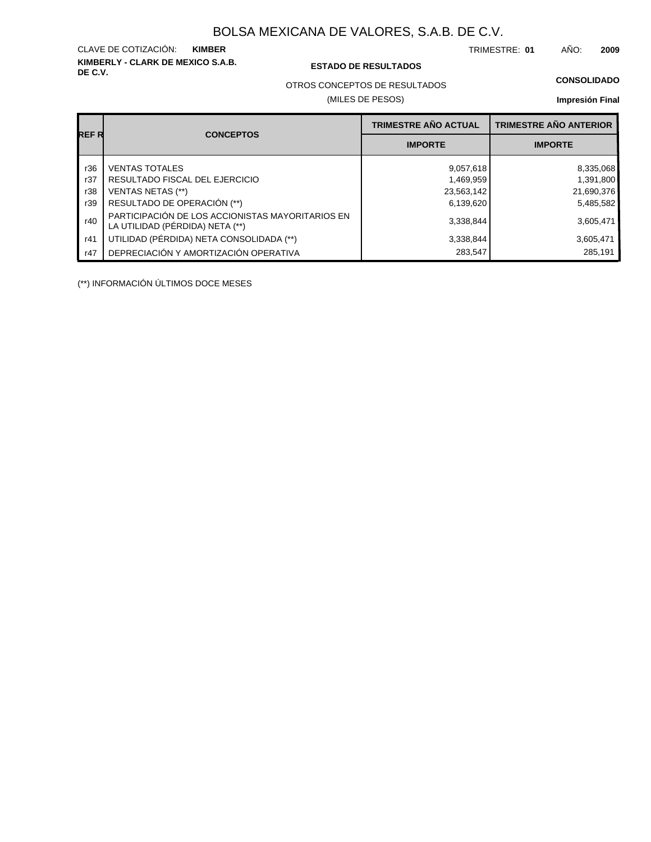**KIMBERLY - CLARK DE MEXICO S.A.B.** CLAVE DE COTIZACIÓN: TRIMESTRE: AÑO: **KIMBER 01 2009**

### **DE C.V. ESTADO DE RESULTADOS**

OTROS CONCEPTOS DE RESULTADOS

(MILES DE PESOS)

### **CONSOLIDADO**

**Impresión Final**

|       |                                                                                     | <b>TRIMESTRE AÑO ACTUAL</b> | <b>TRIMESTRE AÑO ANTERIOR</b> |
|-------|-------------------------------------------------------------------------------------|-----------------------------|-------------------------------|
| REF R | <b>CONCEPTOS</b>                                                                    | <b>IMPORTE</b>              | <b>IMPORTE</b>                |
| r36   | <b>VENTAS TOTALES</b>                                                               | 9,057,618                   | 8,335,068                     |
| r37   | RESULTADO FISCAL DEL EJERCICIO                                                      | 1,469,959                   | 1,391,800                     |
| r38   | <b>VENTAS NETAS (**)</b>                                                            | 23,563,142                  | 21,690,376                    |
| r39   | RESULTADO DE OPERACIÓN (**)                                                         | 6,139,620                   | 5,485,582                     |
| r40   | PARTICIPACIÓN DE LOS ACCIONISTAS MAYORITARIOS EN<br>LA UTILIDAD (PÉRDIDA) NETA (**) | 3,338,844                   | 3,605,471                     |
| r41   | UTILIDAD (PÉRDIDA) NETA CONSOLIDADA (**)                                            | 3,338,844                   | 3,605,471                     |
| r47   | DEPRECIACIÓN Y AMORTIZACIÓN OPERATIVA                                               | 283,547                     | 285,191                       |

(\*\*) INFORMACIÓN ÚLTIMOS DOCE MESES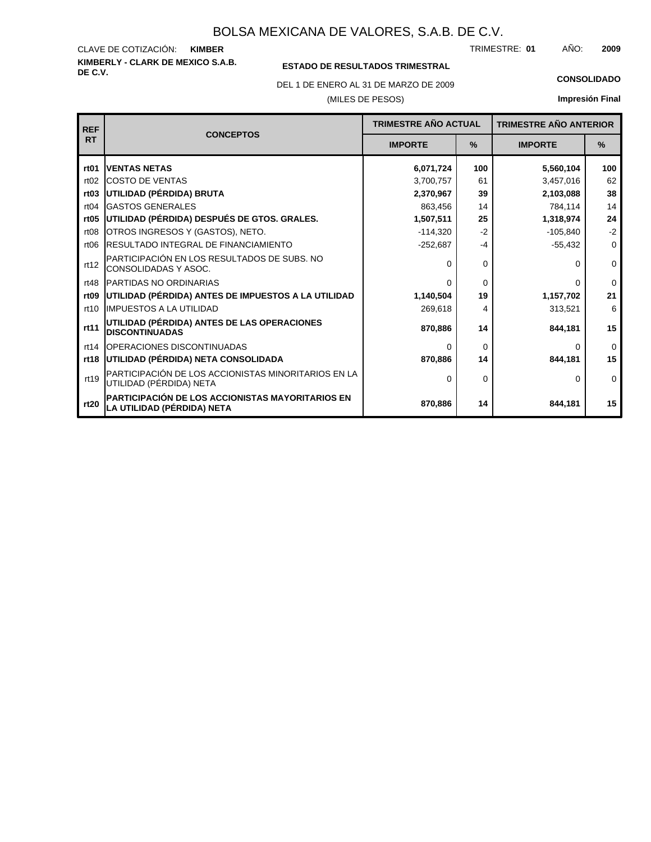### **KIMBERLY - CLARK DE MEXICO S.A.B.** CLAVE DE COTIZACIÓN: TRIMESTRE: AÑO: **KIMBER 01 2009**

## **ESTADO DE RESULTADOS TRIMESTRAL**

DEL 1 DE ENERO AL 31 DE MARZO DE 2009 **CONSOLIDADO**

### (MILES DE PESOS)

**Impresión Final**

| <b>REF</b>       |                                                                                       | <b>TRIMESTRE AÑO ACTUAL</b> |          | <b>TRIMESTRE AÑO ANTERIOR</b> |               |
|------------------|---------------------------------------------------------------------------------------|-----------------------------|----------|-------------------------------|---------------|
| <b>RT</b>        | <b>CONCEPTOS</b>                                                                      | <b>IMPORTE</b>              | $\%$     | <b>IMPORTE</b>                | $\frac{9}{6}$ |
| rt <sub>01</sub> | <b>VENTAS NETAS</b>                                                                   | 6,071,724                   | 100      | 5,560,104                     | 100           |
| rt02             | <b>COSTO DE VENTAS</b>                                                                | 3,700,757                   | 61       | 3,457,016                     | 62            |
| rt <sub>03</sub> | UTILIDAD (PÉRDIDA) BRUTA                                                              | 2,370,967                   | 39       | 2,103,088                     | 38            |
| rt04             | <b>GASTOS GENERALES</b>                                                               | 863,456                     | 14       | 784,114                       | 14            |
| rt <sub>05</sub> | UTILIDAD (PÉRDIDA) DESPUÉS DE GTOS. GRALES.                                           | 1,507,511                   | 25       | 1,318,974                     | 24            |
| rt <sub>08</sub> | OTROS INGRESOS Y (GASTOS), NETO.                                                      | $-114,320$                  | $-2$     | $-105,840$                    | $-2$          |
| rt <sub>06</sub> | RESULTADO INTEGRAL DE FINANCIAMIENTO                                                  | $-252,687$                  | $-4$     | $-55,432$                     | 0             |
| rt12             | PARTICIPACIÓN EN LOS RESULTADOS DE SUBS. NO<br>CONSOLIDADAS Y ASOC.                   | 0                           | $\Omega$ | 0                             | 0             |
| rt48             | PARTIDAS NO ORDINARIAS                                                                | 0                           | $\Omega$ | 0                             | $\Omega$      |
| rt <sub>09</sub> | UTILIDAD (PÉRDIDA) ANTES DE IMPUESTOS A LA UTILIDAD                                   | 1,140,504                   | 19       | 1,157,702                     | 21            |
| rt10             | <b>IMPUESTOS A LA UTILIDAD</b>                                                        | 269,618                     | 4        | 313,521                       | 6             |
| rt11             | UTILIDAD (PÉRDIDA) ANTES DE LAS OPERACIONES<br><b>DISCONTINUADAS</b>                  | 870,886                     | 14       | 844,181                       | 15            |
| rt14             | OPERACIONES DISCONTINUADAS                                                            | 0                           | $\Omega$ | 0                             | $\Omega$      |
| rt18             | UTILIDAD (PÉRDIDA) NETA CONSOLIDADA                                                   | 870,886                     | 14       | 844,181                       | 15            |
| rt19             | PARTICIPACIÓN DE LOS ACCIONISTAS MINORITARIOS EN LA<br>UTILIDAD (PÉRDIDA) NETA        | $\Omega$                    | $\Omega$ | 0                             | 0             |
| rt20             | <b>PARTICIPACIÓN DE LOS ACCIONISTAS MAYORITARIOS EN</b><br>LA UTILIDAD (PÉRDIDA) NETA | 870,886                     | 14       | 844,181                       | 15            |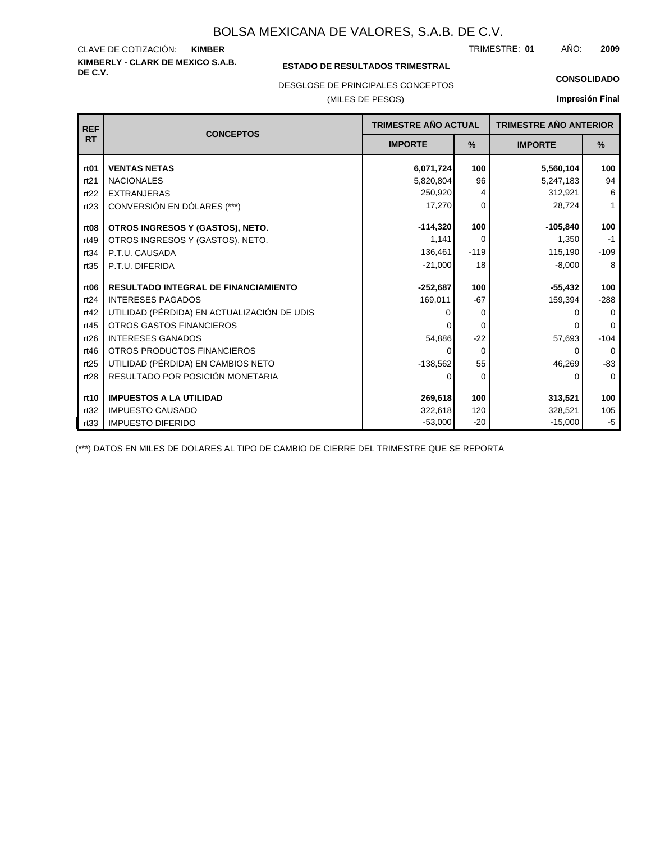### **KIMBERLY - CLARK DE MEXICO S.A.B.** CLAVE DE COTIZACIÓN: TRIMESTRE: AÑO: **KIMBER 01 2009**

### **ESTADO DE RESULTADOS TRIMESTRAL**

DESGLOSE DE PRINCIPALES CONCEPTOS

### (MILES DE PESOS)

### **CONSOLIDADO**

**Impresión Final**

| <b>REF</b>       | <b>CONCEPTOS</b>                            | TRIMESTRE AÑO ACTUAL |               | <b>TRIMESTRE AÑO ANTERIOR</b> |          |
|------------------|---------------------------------------------|----------------------|---------------|-------------------------------|----------|
| <b>RT</b>        |                                             | <b>IMPORTE</b>       | $\frac{9}{6}$ | <b>IMPORTE</b>                | $\%$     |
| rt <sub>01</sub> | <b>VENTAS NETAS</b>                         | 6,071,724            | 100           | 5,560,104                     | 100      |
| rt21             | <b>NACIONALES</b>                           | 5,820,804            | 96            | 5,247,183                     | 94       |
| rt22             | <b>EXTRANJERAS</b>                          | 250,920              | 4             | 312,921                       | 6        |
| rt23             | CONVERSIÓN EN DÓLARES (***)                 | 17,270               | $\Omega$      | 28,724                        | 1        |
| rt <sub>08</sub> | OTROS INGRESOS Y (GASTOS), NETO.            | $-114,320$           | 100           | $-105,840$                    | 100      |
| rt49             | OTROS INGRESOS Y (GASTOS), NETO.            | 1,141                | $\Omega$      | 1,350                         | $-1$     |
| rt34             | P.T.U. CAUSADA                              | 136,461              | $-119$        | 115,190                       | $-109$   |
| rt35             | P.T.U. DIFERIDA                             | $-21,000$            | 18            | $-8,000$                      | 8        |
| rt <sub>06</sub> | <b>RESULTADO INTEGRAL DE FINANCIAMIENTO</b> | $-252,687$           | 100           | $-55,432$                     | 100      |
| rt24             | <b>INTERESES PAGADOS</b>                    | 169,011              | $-67$         | 159,394                       | $-288$   |
| rt42             | UTILIDAD (PÉRDIDA) EN ACTUALIZACIÓN DE UDIS | 0                    | 0             |                               | $\Omega$ |
| rt45             | <b>OTROS GASTOS FINANCIEROS</b>             |                      | $\Omega$      |                               | $\Omega$ |
| rt26             | <b>INTERESES GANADOS</b>                    | 54,886               | $-22$         | 57,693                        | $-104$   |
| rt46             | OTROS PRODUCTOS FINANCIEROS                 | 0                    | $\Omega$      | 0                             | $\Omega$ |
| rt25             | UTILIDAD (PÉRDIDA) EN CAMBIOS NETO          | $-138,562$           | 55            | 46,269                        | $-83$    |
| rt28             | RESULTADO POR POSICIÓN MONETARIA            | 0                    | 0             | $\Omega$                      | $\Omega$ |
|                  |                                             |                      |               |                               |          |
| rt10             | <b>IMPUESTOS A LA UTILIDAD</b>              | 269,618              | 100           | 313,521                       | 100      |
| rt32             | <b>IMPUESTO CAUSADO</b>                     | 322,618              | 120           | 328,521                       | 105      |
| rt33             | <b>IMPUESTO DIFERIDO</b>                    | $-53,000$            | $-20$         | $-15,000$                     | $-5$     |

(\*\*\*) DATOS EN MILES DE DOLARES AL TIPO DE CAMBIO DE CIERRE DEL TRIMESTRE QUE SE REPORTA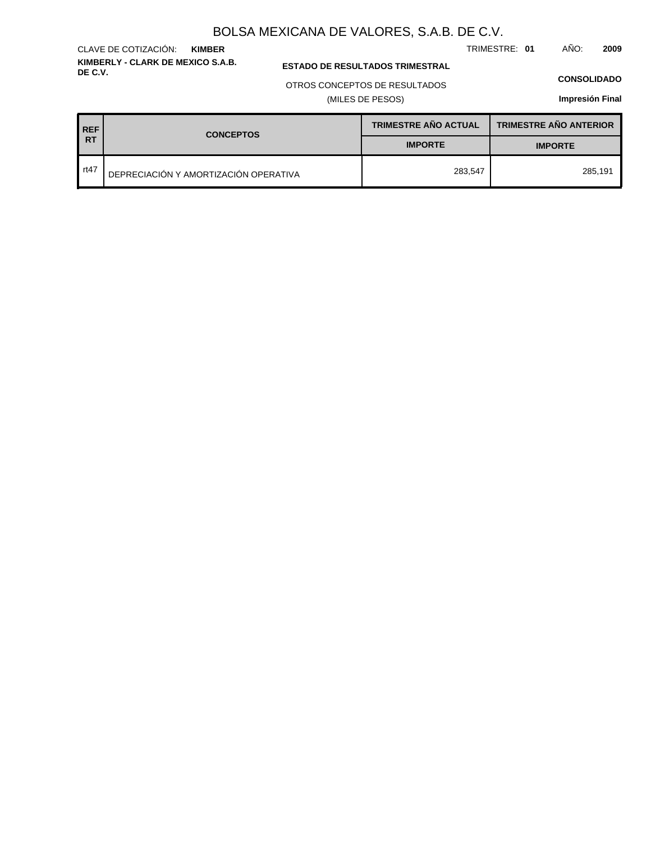TRIMESTRE: **01** AÑO: **2009**

**ESTADO DE RESULTADOS TRIMESTRAL** 

### OTROS CONCEPTOS DE RESULTADOS

(MILES DE PESOS)

### **CONSOLIDADO**

**Impresión Final**

| <b>REF</b> | <b>CONCEPTOS</b>                      | <b>TRIMESTRE AÑO ACTUAL</b> | <b>TRIMESTRE AÑO ANTERIOR</b> |
|------------|---------------------------------------|-----------------------------|-------------------------------|
| <b>RT</b>  |                                       | <b>IMPORTE</b>              | <b>IMPORTE</b>                |
| rt47       | DEPRECIACIÓN Y AMORTIZACIÓN OPERATIVA | 283.547                     | 285.191                       |

### **KIMBERLY - CLARK DE MEXICO S.A.B.** CLAVE DE COTIZACIÓN: **KIMBER**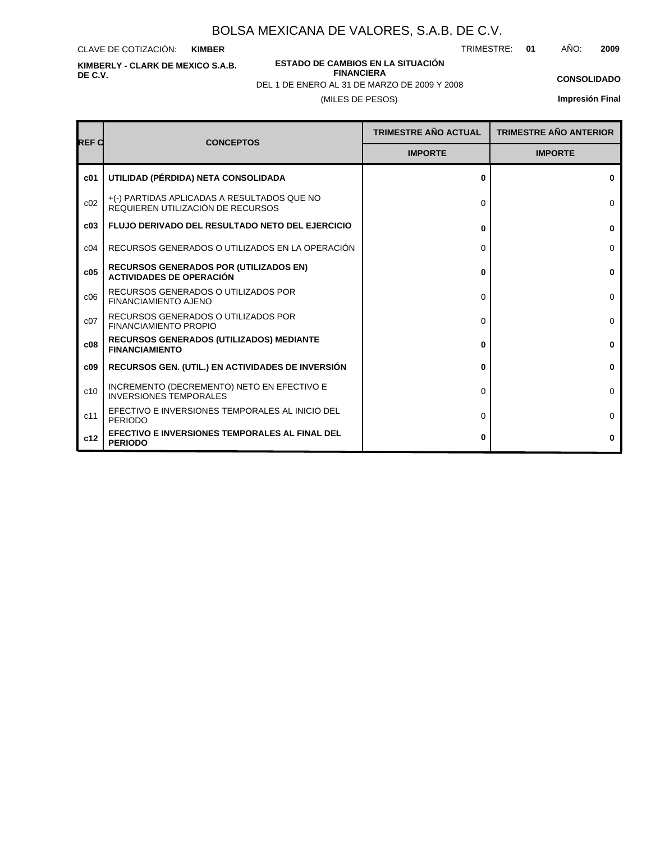CLAVE DE COTIZACIÓN: **KIMBER**

**KIMBERLY - CLARK DE MEXICO S.A.B. DE C.V.**

**ESTADO DE CAMBIOS EN LA SITUACIÓN FINANCIERA**

TRIMESTRE: **01** AÑO: **2009**

**CONSOLIDADO**

(MILES DE PESOS) DEL 1 DE ENERO AL 31 DE MARZO DE 2009 Y 2008

| Impresión Final |  |
|-----------------|--|
|                 |  |

| <b>REF C</b>    | <b>CONCEPTOS</b>                                                                 | <b>TRIMESTRE AÑO ACTUAL</b> | <b>TRIMESTRE AÑO ANTERIOR</b> |
|-----------------|----------------------------------------------------------------------------------|-----------------------------|-------------------------------|
|                 |                                                                                  | <b>IMPORTE</b>              | <b>IMPORTE</b>                |
| c01             | UTILIDAD (PÉRDIDA) NETA CONSOLIDADA                                              | 0                           | $\bf{0}$                      |
| c02             | +(-) PARTIDAS APLICADAS A RESULTADOS QUE NO<br>REQUIEREN UTILIZACIÓN DE RECURSOS | 0                           | $\Omega$                      |
| c03             | <b>FLUJO DERIVADO DEL RESULTADO NETO DEL EJERCICIO</b>                           | 0                           | 0                             |
| C <sub>04</sub> | RECURSOS GENERADOS O UTILIZADOS EN LA OPERACIÓN                                  | 0                           | $\Omega$                      |
| c05             | <b>RECURSOS GENERADOS POR (UTILIZADOS EN)</b><br><b>ACTIVIDADES DE OPERACIÓN</b> | 0                           | $\bf{0}$                      |
| c06             | RECURSOS GENERADOS O UTILIZADOS POR<br><b>FINANCIAMIENTO AJENO</b>               | 0                           | $\Omega$                      |
| c07             | RECURSOS GENERADOS O UTILIZADOS POR<br><b>FINANCIAMIENTO PROPIO</b>              | $\Omega$                    | $\Omega$                      |
| c08             | <b>RECURSOS GENERADOS (UTILIZADOS) MEDIANTE</b><br><b>FINANCIAMIENTO</b>         | 0                           | $\mathbf{0}$                  |
| c09             | <b>RECURSOS GEN. (UTIL.) EN ACTIVIDADES DE INVERSIÓN</b>                         | 0                           | $\bf{0}$                      |
| c10             | INCREMENTO (DECREMENTO) NETO EN EFECTIVO E<br><b>INVERSIONES TEMPORALES</b>      | $\Omega$                    | $\Omega$                      |
| c11             | EFECTIVO E INVERSIONES TEMPORALES AL INICIO DEL<br><b>PERIODO</b>                | 0                           | $\Omega$                      |
| c12             | EFECTIVO E INVERSIONES TEMPORALES AL FINAL DEL<br><b>PERIODO</b>                 | 0                           | 0                             |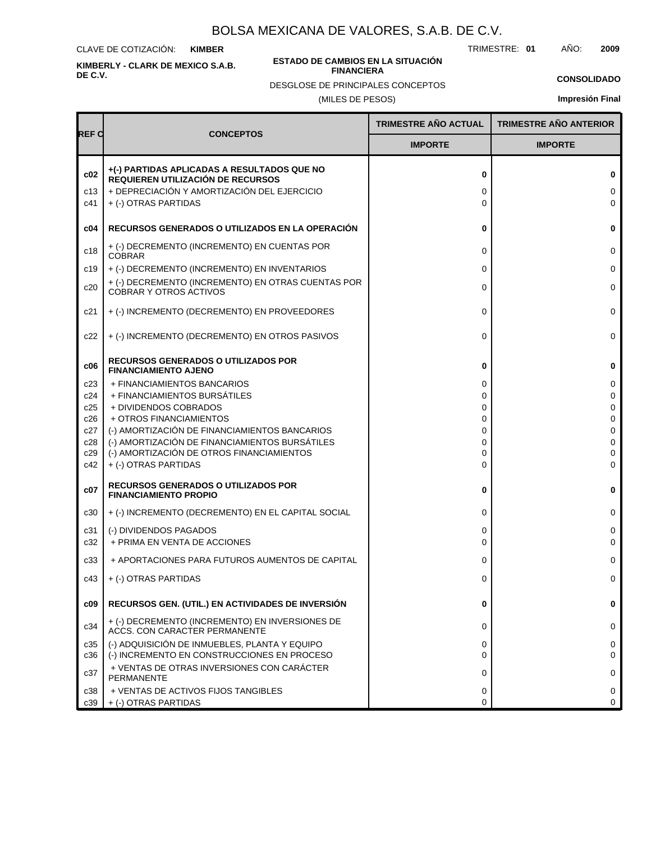CLAVE DE COTIZACIÓN: **KIMBER**

**KIMBERLY - CLARK DE MEXICO S.A.B. DE C.V.**

### **ESTADO DE CAMBIOS EN LA SITUACIÓN FINANCIERA**

TRIMESTRE: **01** AÑO: **2009**

**CONSOLIDADO Impresión Final**

DESGLOSE DE PRINCIPALES CONCEPTOS

(MILES DE PESOS)

|                   |                                                                                                                                                         | <b>TRIMESTRE AÑO ACTUAL</b> | <b>TRIMESTRE AÑO ANTERIOR</b> |
|-------------------|---------------------------------------------------------------------------------------------------------------------------------------------------------|-----------------------------|-------------------------------|
| REF C             | <b>CONCEPTOS</b>                                                                                                                                        | <b>IMPORTE</b>              | <b>IMPORTE</b>                |
| c02<br>c13<br>c41 | +(-) PARTIDAS APLICADAS A RESULTADOS QUE NO<br>REQUIEREN UTILIZACIÓN DE RECURSOS<br>+ DEPRECIACIÓN Y AMORTIZACIÓN DEL EJERCICIO<br>+ (-) OTRAS PARTIDAS | 0<br>0<br>0                 | 0<br>0<br>$\Omega$            |
| c04               | RECURSOS GENERADOS O UTILIZADOS EN LA OPERACIÓN                                                                                                         | 0                           | 0                             |
| c18               | + (-) DECREMENTO (INCREMENTO) EN CUENTAS POR<br><b>COBRAR</b>                                                                                           | 0                           | 0                             |
| c19               | + (-) DECREMENTO (INCREMENTO) EN INVENTARIOS                                                                                                            | 0                           | $\mathbf 0$                   |
| c20               | + (-) DECREMENTO (INCREMENTO) EN OTRAS CUENTAS POR<br><b>COBRAR Y OTROS ACTIVOS</b>                                                                     | 0                           | 0                             |
| c21               | + (-) INCREMENTO (DECREMENTO) EN PROVEEDORES                                                                                                            | 0                           | 0                             |
| c22               | + (-) INCREMENTO (DECREMENTO) EN OTROS PASIVOS                                                                                                          | 0                           | 0                             |
| c06               | <b>RECURSOS GENERADOS O UTILIZADOS POR</b><br><b>FINANCIAMIENTO AJENO</b>                                                                               | 0                           | 0                             |
| c23               | + FINANCIAMIENTOS BANCARIOS                                                                                                                             | 0                           | 0                             |
| c24               | + FINANCIAMIENTOS BURSÁTILES                                                                                                                            | 0                           | 0                             |
| c25<br>c26        | + DIVIDENDOS COBRADOS<br>+ OTROS FINANCIAMIENTOS                                                                                                        | 0<br>0                      | 0<br>0                        |
| c27               | (-) AMORTIZACIÓN DE FINANCIAMIENTOS BANCARIOS                                                                                                           | 0                           | $\Omega$                      |
| c28               | (-) AMORTIZACIÓN DE FINANCIAMIENTOS BURSÁTILES                                                                                                          | 0                           | 0                             |
| c29               | (-) AMORTIZACIÓN DE OTROS FINANCIAMIENTOS                                                                                                               | 0                           | 0                             |
| c42               | + (-) OTRAS PARTIDAS                                                                                                                                    | $\Omega$                    | 0                             |
| c07               | <b>RECURSOS GENERADOS O UTILIZADOS POR</b><br><b>FINANCIAMIENTO PROPIO</b>                                                                              | 0                           | 0                             |
| c30               | + (-) INCREMENTO (DECREMENTO) EN EL CAPITAL SOCIAL                                                                                                      | 0                           | 0                             |
| c31               | (-) DIVIDENDOS PAGADOS                                                                                                                                  | 0                           | 0                             |
| c32               | + PRIMA EN VENTA DE ACCIONES                                                                                                                            | 0                           | 0                             |
| c33               | + APORTACIONES PARA FUTUROS AUMENTOS DE CAPITAL                                                                                                         | 0                           | 0                             |
| c43               | + (-) OTRAS PARTIDAS                                                                                                                                    | 0                           | 0                             |
| c09               | RECURSOS GEN. (UTIL.) EN ACTIVIDADES DE INVERSIÓN                                                                                                       | 0                           | 0                             |
| c34               | + (-) DECREMENTO (INCREMENTO) EN INVERSIONES DE<br>ACCS. CON CARACTER PERMANENTE                                                                        | 0                           | 0                             |
| c35<br>c36        | (-) ADQUISICIÓN DE INMUEBLES, PLANTA Y EQUIPO<br>(-) INCREMENTO EN CONSTRUCCIONES EN PROCESO                                                            | 0<br>0                      | 0<br>0                        |
| c37               | + VENTAS DE OTRAS INVERSIONES CON CARÁCTER<br>PERMANENTE                                                                                                | 0                           | 0                             |
| c38               | + VENTAS DE ACTIVOS FIJOS TANGIBLES                                                                                                                     | 0                           | 0                             |
| c39               | + (-) OTRAS PARTIDAS                                                                                                                                    | 0                           | 0                             |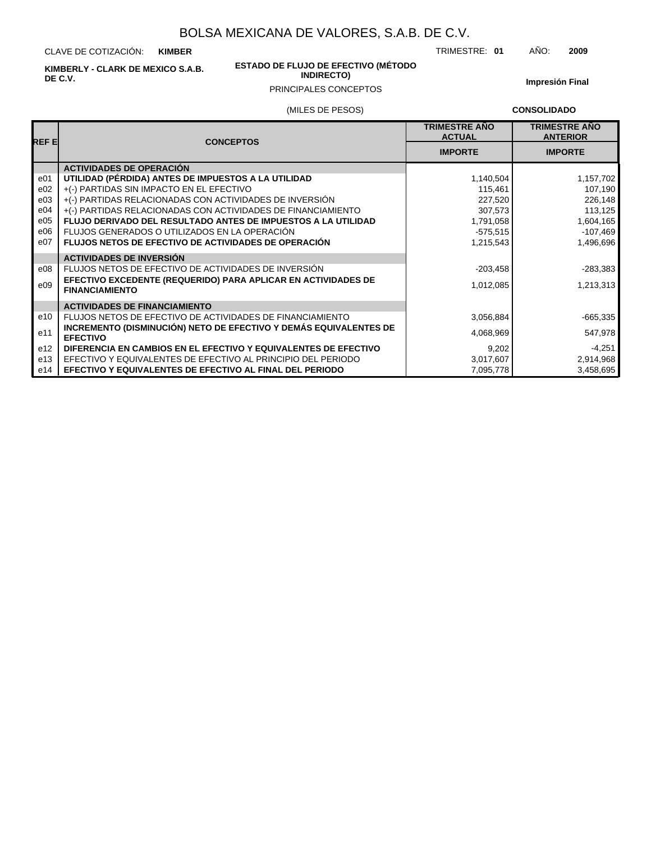CLAVE DE COTIZACIÓN: **KIMBER**

**KIMBERLY - CLARK DE MEXICO S.A.B. DE C.V.**

### **ESTADO DE FLUJO DE EFECTIVO (MÉTODO INDIRECTO)**

**Impresión Final**

# (MILES DE PESOS) PRINCIPALES CONCEPTOS

**CONSOLIDADO**

| REF EI          | <b>CONCEPTOS</b>                                                                       | <b>TRIMESTRE ANO</b><br><b>ACTUAL</b> | <b>TRIMESTRE AÑO</b><br><b>ANTERIOR</b> |
|-----------------|----------------------------------------------------------------------------------------|---------------------------------------|-----------------------------------------|
|                 |                                                                                        | <b>IMPORTE</b>                        | <b>IMPORTE</b>                          |
|                 | <b>ACTIVIDADES DE OPERACIÓN</b>                                                        |                                       |                                         |
| e01             | UTILIDAD (PÉRDIDA) ANTES DE IMPUESTOS A LA UTILIDAD                                    | 1,140,504                             | 1,157,702                               |
| e02             | +(-) PARTIDAS SIN IMPACTO EN EL EFECTIVO                                               | 115,461                               | 107,190                                 |
| e03             | +(-) PARTIDAS RELACIONADAS CON ACTIVIDADES DE INVERSIÓN                                | 227,520                               | 226,148                                 |
| e04             | +(-) PARTIDAS RELACIONADAS CON ACTIVIDADES DE FINANCIAMIENTO                           | 307,573                               | 113,125                                 |
| e05             | FLUJO DERIVADO DEL RESULTADO ANTES DE IMPUESTOS A LA UTILIDAD                          | 1,791,058                             | 1,604,165                               |
| e06             | FLUJOS GENERADOS O UTILIZADOS EN LA OPERACIÓN                                          | $-575,515$                            | $-107,469$                              |
| e07             | <b>FLUJOS NETOS DE EFECTIVO DE ACTIVIDADES DE OPERACIÓN</b>                            | 1,215,543                             | 1,496,696                               |
|                 | <b>ACTIVIDADES DE INVERSIÓN</b>                                                        |                                       |                                         |
| e08             | FLUJOS NETOS DE EFECTIVO DE ACTIVIDADES DE INVERSIÓN                                   | $-203,458$                            | $-283,383$                              |
| e09             | EFECTIVO EXCEDENTE (REQUERIDO) PARA APLICAR EN ACTIVIDADES DE<br><b>FINANCIAMIENTO</b> | 1,012,085                             | 1,213,313                               |
|                 | <b>ACTIVIDADES DE FINANCIAMIENTO</b>                                                   |                                       |                                         |
| e10             | FLUJOS NETOS DE EFECTIVO DE ACTIVIDADES DE FINANCIAMIENTO                              | 3,056,884                             | $-665,335$                              |
| e11             | INCREMENTO (DISMINUCIÓN) NETO DE EFECTIVO Y DEMÁS EQUIVALENTES DE<br><b>EFECTIVO</b>   | 4,068,969                             | 547,978                                 |
| e <sub>12</sub> | DIFERENCIA EN CAMBIOS EN EL EFECTIVO Y EQUIVALENTES DE EFECTIVO                        | 9,202                                 | $-4,251$                                |
| e13             | EFECTIVO Y EQUIVALENTES DE EFECTIVO AL PRINCIPIO DEL PERIODO                           | 3,017,607                             | 2,914,968                               |
| e14             | <b>EFECTIVO Y EQUIVALENTES DE EFECTIVO AL FINAL DEL PERIODO</b>                        | 7,095,778                             | 3,458,695                               |

### TRIMESTRE: **01** AÑO: **2009**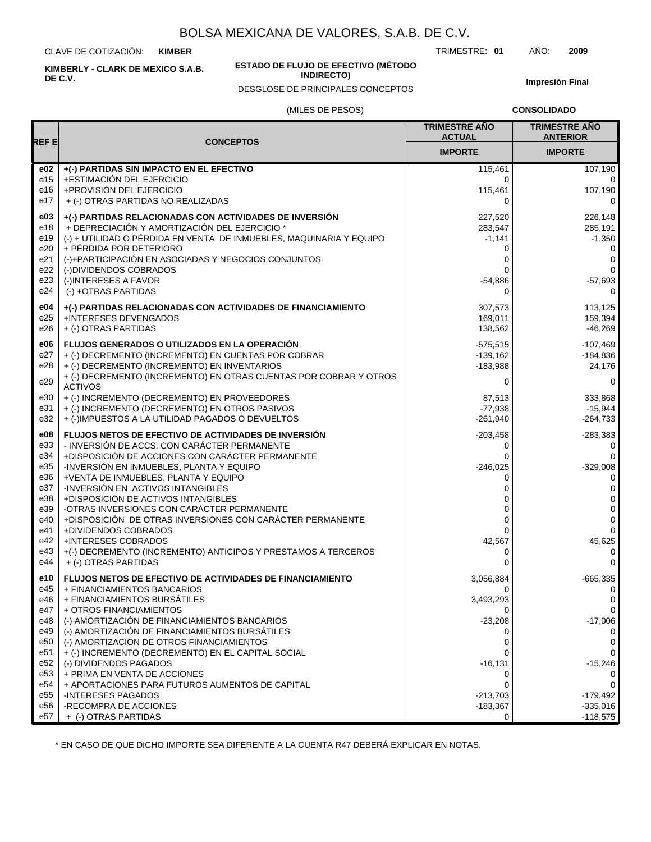CLAVE DE COTIZACIÓN: **KIMBER**

**KIMBERLY - CLARK DE MEXICO S.A.B. DE C.V.**

### **ESTADO DE FLUJO DE EFECTIVO (MÉTODO INDIRECTO)**

DESGLOSE DE PRINCIPALES CONCEPTOS

TRIMESTRE: **01** AÑO: **2009**

**Impresión Final**

### (MILES DE PESOS)

**CONSOLIDADO**

|                        |                                                                                                    | <b>TRIMESTRE ANO</b><br><b>ACTUAL</b> | <b>TRIMESTRE AÑO</b><br><b>ANTERIOR</b> |
|------------------------|----------------------------------------------------------------------------------------------------|---------------------------------------|-----------------------------------------|
| <b>REFE</b>            | <b>CONCEPTOS</b>                                                                                   | <b>IMPORTE</b>                        | <b>IMPORTE</b>                          |
| e02                    | +(-) PARTIDAS SIN IMPACTO EN EL EFECTIVO                                                           | 115,461                               | 107,190                                 |
| e15                    | +ESTIMACIÓN DEL EJERCICIO                                                                          | 0                                     | 0                                       |
| e16                    | +PROVISIÓN DEL EJERCICIO                                                                           | 115,461                               | 107,190                                 |
| e17                    | + (-) OTRAS PARTIDAS NO REALIZADAS                                                                 | $\Omega$                              | 0                                       |
| e03                    | +(-) PARTIDAS RELACIONADAS CON ACTIVIDADES DE INVERSIÓN                                            | 227,520                               | 226,148                                 |
| e18                    | + DEPRECIACIÓN Y AMORTIZACIÓN DEL EJERCICIO *                                                      | 283,547                               | 285,191                                 |
| e19                    | (-) + UTILIDAD O PÉRDIDA EN VENTA DE INMUEBLES, MAQUINARIA Y EQUIPO                                | $-1,141$                              | $-1,350$                                |
| e20                    | + PÉRDIDA POR DETERIORO                                                                            | 0                                     | 0                                       |
| e21                    | (-)+PARTICIPACIÓN EN ASOCIADAS Y NEGOCIOS CONJUNTOS                                                | 0                                     | 0                                       |
| e22                    | (-)DIVIDENDOS COBRADOS                                                                             | 0                                     | 0                                       |
| e23                    | (-)INTERESES A FAVOR                                                                               | $-54,886$                             | $-57,693$                               |
| e24                    | (-) +OTRAS PARTIDAS                                                                                | $\Omega$                              | 0                                       |
| e04                    | +(-) PARTIDAS RELACIONADAS CON ACTIVIDADES DE FINANCIAMIENTO                                       | 307,573                               | 113,125                                 |
| e25                    | +INTERESES DEVENGADOS                                                                              | 169,011                               | 159,394                                 |
| e26                    | + (-) OTRAS PARTIDAS                                                                               | 138,562                               | $-46,269$                               |
| e06                    | FLUJOS GENERADOS O UTILIZADOS EN LA OPERACIÓN                                                      | $-575,515$                            | $-107,469$                              |
| e27                    | + (-) DECREMENTO (INCREMENTO) EN CUENTAS POR COBRAR                                                | $-139,162$                            | $-184,836$                              |
| e28                    | + (-) DECREMENTO (INCREMENTO) EN INVENTARIOS                                                       | $-183,988$                            | 24,176                                  |
| e29                    | + (-) DECREMENTO (INCREMENTO) EN OTRAS CUENTAS POR COBRAR Y OTROS                                  | 0                                     | 0                                       |
|                        | <b>ACTIVOS</b>                                                                                     |                                       |                                         |
| e30                    | + (-) INCREMENTO (DECREMENTO) EN PROVEEDORES                                                       | 87,513                                | 333,868                                 |
| e31<br>e32             | + (-) INCREMENTO (DECREMENTO) EN OTROS PASIVOS<br>+ (-)IMPUESTOS A LA UTILIDAD PAGADOS O DEVUELTOS | $-77,938$<br>$-261.940$               | $-15,944$<br>$-264,733$                 |
|                        |                                                                                                    |                                       |                                         |
| e08                    | FLUJOS NETOS DE EFECTIVO DE ACTIVIDADES DE INVERSIÓN                                               | $-203,458$                            | $-283,383$                              |
| e33                    | - INVERSIÓN DE ACCS. CON CARÁCTER PERMANENTE                                                       | 0                                     | 0                                       |
| e34                    | +DISPOSICIÓN DE ACCIONES CON CARÁCTER PERMANENTE                                                   | $\Omega$                              | 0                                       |
| e35<br>e36             | -INVERSIÓN EN INMUEBLES, PLANTA Y EQUIPO<br>+VENTA DE INMUEBLES, PLANTA Y EQUIPO                   | $-246,025$<br>0                       | $-329,008$<br>0                         |
| e37                    | -INVERSIÓN EN ACTIVOS INTANGIBLES                                                                  | 0                                     | 0                                       |
| e38                    | +DISPOSICIÓN DE ACTIVOS INTANGIBLES                                                                | 0                                     | 0                                       |
| e39                    | -OTRAS INVERSIONES CON CARÁCTER PERMANENTE                                                         | 0                                     | 0                                       |
| e40                    | +DISPOSICIÓN DE OTRAS INVERSIONES CON CARÁCTER PERMANENTE                                          | 0                                     | 0                                       |
| e41                    | +DIVIDENDOS COBRADOS                                                                               | 0                                     | $\mathbf 0$                             |
| e42                    | <b>+INTERESES COBRADOS</b>                                                                         | 42,567                                | 45,625                                  |
| e43                    | +(-) DECREMENTO (INCREMENTO) ANTICIPOS Y PRESTAMOS A TERCEROS                                      | 0                                     | 0                                       |
| e44                    | + (-) OTRAS PARTIDAS                                                                               | 0                                     | $\mathbf 0$                             |
| e10                    | <b>FLUJOS NETOS DE EFECTIVO DE ACTIVIDADES DE FINANCIAMIENTO</b>                                   | 3,056,884                             | $-665,335$                              |
| e45                    | + FINANCIAMIENTOS BANCARIOS                                                                        | 0                                     | 0                                       |
| e46                    | + FINANCIAMIENTOS BURSÁTILES                                                                       | 3,493,293                             | 0                                       |
| e47                    | + OTROS FINANCIAMIENTOS                                                                            | 0                                     | 0                                       |
| e48                    | (-) AMORTIZACIÓN DE FINANCIAMIENTOS BANCARIOS                                                      | $-23,208$                             | $-17,006$                               |
| e49                    | (-) AMORTIZACIÓN DE FINANCIAMIENTOS BURSÁTILES                                                     | 0                                     | $\Omega$                                |
| e50                    | (-) AMORTIZACIÓN DE OTROS FINANCIAMIENTOS                                                          | 0                                     | 0                                       |
| e51                    | + (-) INCREMENTO (DECREMENTO) EN EL CAPITAL SOCIAL                                                 | 0                                     | 0                                       |
| e52                    | (-) DIVIDENDOS PAGADOS                                                                             | $-16,131$                             | $-15,246$                               |
| e53                    | + PRIMA EN VENTA DE ACCIONES                                                                       | 0                                     | 0                                       |
| e54                    | + APORTACIONES PARA FUTUROS AUMENTOS DE CAPITAL                                                    | $\Omega$                              | 0                                       |
| e <sub>55</sub><br>e56 | <b>INTERESES PAGADOS</b><br>-RECOMPRA DE ACCIONES                                                  | $-213,703$                            | $-179,492$<br>$-335,016$                |
| e57                    | + (-) OTRAS PARTIDAS                                                                               | $-183,367$<br>0                       | $-118,575$                              |
|                        |                                                                                                    |                                       |                                         |

\* EN CASO DE QUE DICHO IMPORTE SEA DIFERENTE A LA CUENTA R47 DEBERÁ EXPLICAR EN NOTAS.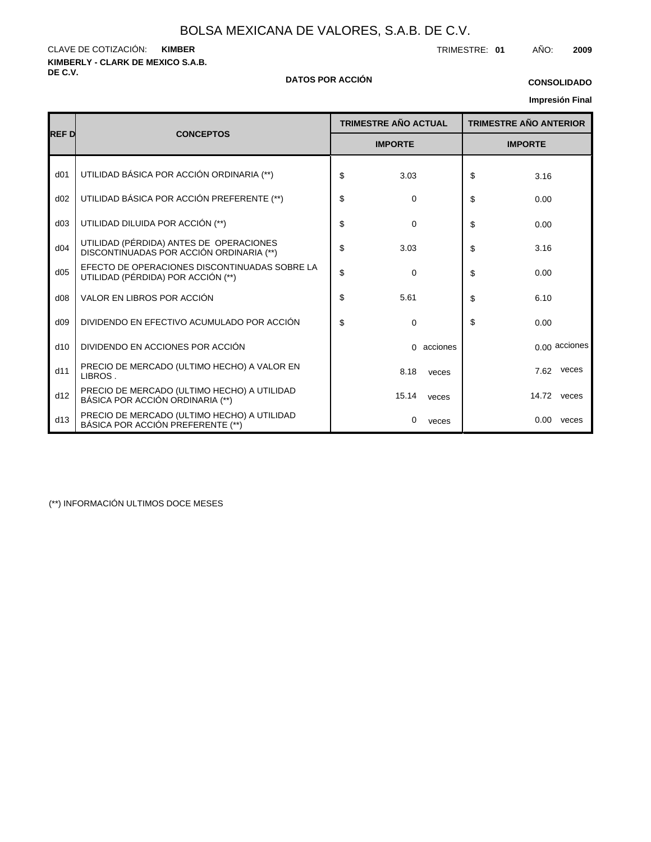**KIMBERLY - CLARK DE MEXICO S.A.B.** CLAVE DE COTIZACIÓN: TRIMESTRE: **01** AÑO: **2009 KIMBER**

### **DE C.V. DATOS POR ACCIÓN**

### **Impresión Final CONSOLIDADO**

|  | <b>Impresión Final</b> |
|--|------------------------|
|--|------------------------|

|                 |                                                                                     |    | <b>TRIMESTRE AÑO ACTUAL</b><br><b>IMPORTE</b> |            | <b>TRIMESTRE AÑO ANTERIOR</b> |      |               |
|-----------------|-------------------------------------------------------------------------------------|----|-----------------------------------------------|------------|-------------------------------|------|---------------|
| <b>REF D</b>    | <b>CONCEPTOS</b>                                                                    |    |                                               |            | <b>IMPORTE</b>                |      |               |
| d <sub>01</sub> | UTILIDAD BÁSICA POR ACCIÓN ORDINARIA (**)                                           | \$ | 3.03                                          |            | \$                            | 3.16 |               |
| d02             | UTILIDAD BÁSICA POR ACCIÓN PREFERENTE (**)                                          | \$ | 0                                             |            | \$                            | 0.00 |               |
| d03             | UTILIDAD DILUIDA POR ACCIÓN (**)                                                    | \$ | $\mathbf 0$                                   |            | \$                            | 0.00 |               |
| d04             | UTILIDAD (PÉRDIDA) ANTES DE OPERACIONES<br>DISCONTINUADAS POR ACCIÓN ORDINARIA (**) | \$ | 3.03                                          |            | \$                            | 3.16 |               |
| d05             | EFECTO DE OPERACIONES DISCONTINUADAS SOBRE LA<br>UTILIDAD (PÉRDIDA) POR ACCIÓN (**) | \$ | 0                                             |            | \$                            | 0.00 |               |
| d08             | VALOR EN LIBROS POR ACCIÓN                                                          | \$ | 5.61                                          |            | \$                            | 6.10 |               |
| d09             | DIVIDENDO EN EFECTIVO ACUMULADO POR ACCIÓN                                          | \$ | 0                                             |            | \$                            | 0.00 |               |
| d10             | DIVIDENDO EN ACCIONES POR ACCIÓN                                                    |    |                                               | 0 acciones |                               |      | 0.00 acciones |
| d11             | PRECIO DE MERCADO (ULTIMO HECHO) A VALOR EN<br>LIBROS.                              |    | 8.18                                          | veces      |                               | 7.62 | veces         |
| d12             | PRECIO DE MERCADO (ULTIMO HECHO) A UTILIDAD<br>BÁSICA POR ACCIÓN ORDINARIA (**)     |    | 15.14                                         | veces      |                               |      | 14.72 veces   |
| d13             | PRECIO DE MERCADO (ULTIMO HECHO) A UTILIDAD<br>BÁSICA POR ACCIÓN PREFERENTE (**)    |    | 0                                             | veces      |                               |      | $0.00$ veces  |

(\*\*) INFORMACIÓN ULTIMOS DOCE MESES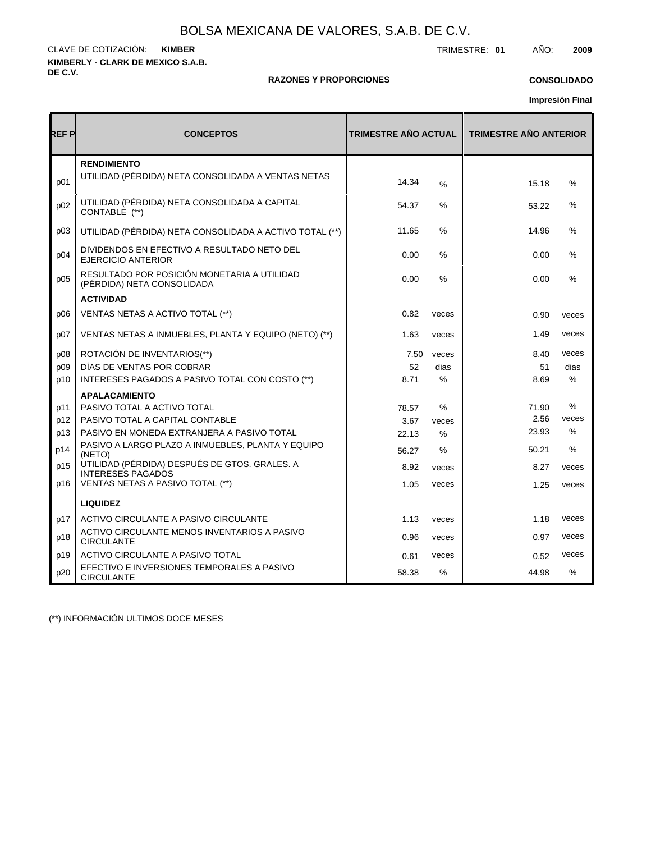**KIMBERLY - CLARK DE MEXICO S.A.B. DE C.V.** CLAVE DE COTIZACIÓN: TRIMESTRE: **01** AÑO: **2009 KIMBER**

### **RAZONES Y PROPORCIONES**

### **CONSOLIDADO**

**Impresión Final**

| REF P | <b>CONCEPTOS</b>                                                          | <b>TRIMESTRE AÑO ACTUAL</b> |       | <b>TRIMESTRE AÑO ANTERIOR</b> |       |
|-------|---------------------------------------------------------------------------|-----------------------------|-------|-------------------------------|-------|
| p01   | <b>RENDIMIENTO</b><br>UTILIDAD (PÉRDIDA) NETA CONSOLIDADA A VENTAS NETAS  | 14.34                       | %     | 15.18                         | %     |
| p02   | UTILIDAD (PÉRDIDA) NETA CONSOLIDADA A CAPITAL<br>CONTABLE (**)            | 54.37                       | %     | 53.22                         | %     |
| p03   | UTILIDAD (PÉRDIDA) NETA CONSOLIDADA A ACTIVO TOTAL (**)                   | 11.65                       | %     | 14.96                         | %     |
| p04   | DIVIDENDOS EN EFECTIVO A RESULTADO NETO DEL<br><b>EJERCICIO ANTERIOR</b>  | 0.00                        | %     | 0.00                          | %     |
| p05   | RESULTADO POR POSICIÓN MONETARIA A UTILIDAD<br>(PÉRDIDA) NETA CONSOLIDADA | 0.00                        | $\%$  | 0.00                          | $\%$  |
|       | <b>ACTIVIDAD</b>                                                          |                             |       |                               |       |
| D06   | VENTAS NETAS A ACTIVO TOTAL (**)                                          | 0.82                        | veces | 0.90                          | veces |
| p07   | VENTAS NETAS A INMUEBLES, PLANTA Y EQUIPO (NETO) (**)                     | 1.63                        | veces | 1.49                          | veces |
| p08   | ROTACIÓN DE INVENTARIOS(**)                                               | 7.50                        | veces | 8.40                          | veces |
| p09   | DÍAS DE VENTAS POR COBRAR                                                 | 52                          | dias  | 51                            | dias  |
| p10   | INTERESES PAGADOS A PASIVO TOTAL CON COSTO (**)                           | 8.71                        | %     | 8.69                          | %     |
|       | <b>APALACAMIENTO</b>                                                      |                             |       |                               |       |
| p11   | PASIVO TOTAL A ACTIVO TOTAL                                               | 78.57                       | $\%$  | 71.90                         | %     |
| p12   | PASIVO TOTAL A CAPITAL CONTABLE                                           | 3.67                        | veces | 2.56                          | veces |
| p13   | PASIVO EN MONEDA EXTRANJERA A PASIVO TOTAL                                | 22.13                       | $\%$  | 23.93                         | $\%$  |
| p14   | PASIVO A LARGO PLAZO A INMUEBLES, PLANTA Y EQUIPO<br>(NETO)               | 56.27                       | $\%$  | 50.21                         | $\%$  |
| p15   | UTILIDAD (PÉRDIDA) DESPUÉS DE GTOS. GRALES. A<br><b>INTERESES PAGADOS</b> | 8.92                        | veces | 8.27                          | veces |
| p16   | VENTAS NETAS A PASIVO TOTAL (**)                                          | 1.05                        | veces | 1.25                          | veces |
|       | <b>LIQUIDEZ</b>                                                           |                             |       |                               |       |
| p17   | ACTIVO CIRCULANTE A PASIVO CIRCULANTE                                     | 1.13                        | veces | 1.18                          | veces |
| p18   | ACTIVO CIRCULANTE MENOS INVENTARIOS A PASIVO<br><b>CIRCULANTE</b>         | 0.96                        | veces | 0.97                          | veces |
| p19   | ACTIVO CIRCULANTE A PASIVO TOTAL                                          | 0.61                        | veces | 0.52                          | veces |
| p20   | EFECTIVO E INVERSIONES TEMPORALES A PASIVO<br><b>CIRCULANTE</b>           | 58.38                       | $\%$  | 44.98                         | $\%$  |

(\*\*) INFORMACIÓN ULTIMOS DOCE MESES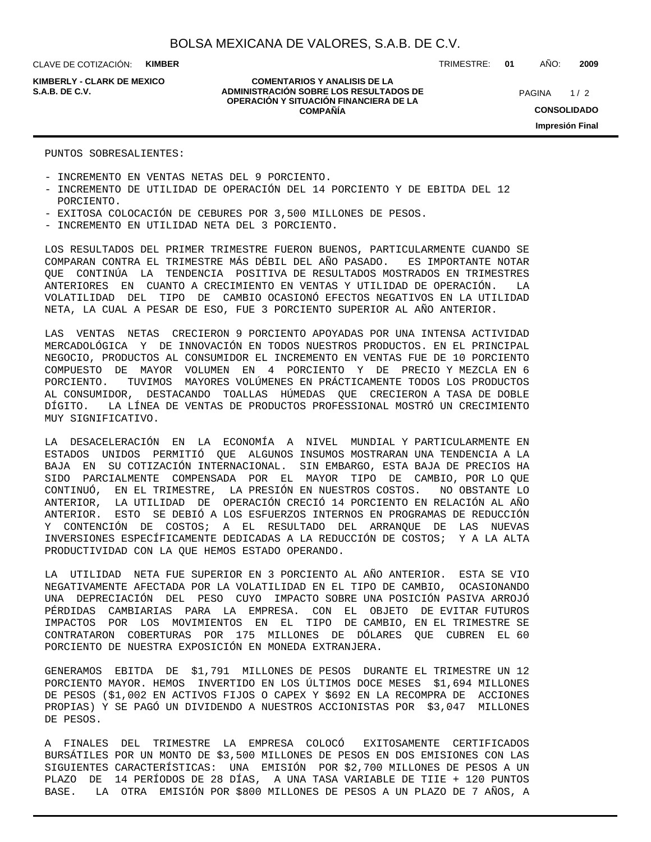CLAVE DE COTIZACIÓN: **KIMBER**

**KIMBERLY - CLARK DE MEXICO**

**COMENTARIOS Y ANALISIS DE LA ADMINISTRACIÓN SOBRE LOS RESULTADOS DE S.A.B. DE C.V.** PAGINA / 2 **OPERACIÓN Y SITUACIÓN FINANCIERA DE LA COMPAÑÍA**

 $1/2$ **CONSOLIDADO Impresión Final**

### PUNTOS SOBRESALIENTES:

- INCREMENTO EN VENTAS NETAS DEL 9 PORCIENTO.

- INCREMENTO DE UTILIDAD DE OPERACIÓN DEL 14 PORCIENTO Y DE EBITDA DEL 12 PORCIENTO.
- EXITOSA COLOCACIÓN DE CEBURES POR 3,500 MILLONES DE PESOS.
- INCREMENTO EN UTILIDAD NETA DEL 3 PORCIENTO.

LOS RESULTADOS DEL PRIMER TRIMESTRE FUERON BUENOS, PARTICULARMENTE CUANDO SE COMPARAN CONTRA EL TRIMESTRE MÁS DÉBIL DEL AÑO PASADO. ES IMPORTANTE NOTAR QUE CONTINÚA LA TENDENCIA POSITIVA DE RESULTADOS MOSTRADOS EN TRIMESTRES ANTERIORES EN CUANTO A CRECIMIENTO EN VENTAS Y UTILIDAD DE OPERACIÓN. LA VOLATILIDAD DEL TIPO DE CAMBIO OCASIONÓ EFECTOS NEGATIVOS EN LA UTILIDAD NETA, LA CUAL A PESAR DE ESO, FUE 3 PORCIENTO SUPERIOR AL AÑO ANTERIOR.

LAS VENTAS NETAS CRECIERON 9 PORCIENTO APOYADAS POR UNA INTENSA ACTIVIDAD MERCADOLÓGICA Y DE INNOVACIÓN EN TODOS NUESTROS PRODUCTOS. EN EL PRINCIPAL NEGOCIO, PRODUCTOS AL CONSUMIDOR EL INCREMENTO EN VENTAS FUE DE 10 PORCIENTO COMPUESTO DE MAYOR VOLUMEN EN 4 PORCIENTO Y DE PRECIO Y MEZCLA EN 6 PORCIENTO. TUVIMOS MAYORES VOLÚMENES EN PRÁCTICAMENTE TODOS LOS PRODUCTOS AL CONSUMIDOR, DESTACANDO TOALLAS HÚMEDAS QUE CRECIERON A TASA DE DOBLE DÍGITO. LA LÍNEA DE VENTAS DE PRODUCTOS PROFESSIONAL MOSTRÓ UN CRECIMIENTO MUY SIGNIFICATIVO.

LA DESACELERACIÓN EN LA ECONOMÍA A NIVEL MUNDIAL Y PARTICULARMENTE EN ESTADOS UNIDOS PERMITIÓ QUE ALGUNOS INSUMOS MOSTRARAN UNA TENDENCIA A LA BAJA EN SU COTIZACIÓN INTERNACIONAL. SIN EMBARGO, ESTA BAJA DE PRECIOS HA SIDO PARCIALMENTE COMPENSADA POR EL MAYOR TIPO DE CAMBIO, POR LO QUE CONTINUÓ, EN EL TRIMESTRE, LA PRESIÓN EN NUESTROS COSTOS. NO OBSTANTE LO ANTERIOR, LA UTILIDAD DE OPERACIÓN CRECIÓ 14 PORCIENTO EN RELACIÓN AL AÑO ANTERIOR. ESTO SE DEBIÓ A LOS ESFUERZOS INTERNOS EN PROGRAMAS DE REDUCCIÓN Y CONTENCIÓN DE COSTOS; A EL RESULTADO DEL ARRANQUE DE LAS NUEVAS INVERSIONES ESPECÍFICAMENTE DEDICADAS A LA REDUCCIÓN DE COSTOS; Y A LA ALTA PRODUCTIVIDAD CON LA QUE HEMOS ESTADO OPERANDO.

LA UTILIDAD NETA FUE SUPERIOR EN 3 PORCIENTO AL AÑO ANTERIOR. ESTA SE VIO NEGATIVAMENTE AFECTADA POR LA VOLATILIDAD EN EL TIPO DE CAMBIO, OCASIONANDO UNA DEPRECIACIÓN DEL PESO CUYO IMPACTO SOBRE UNA POSICIÓN PASIVA ARROJÓ PÉRDIDAS CAMBIARIAS PARA LA EMPRESA. CON EL OBJETO DE EVITAR FUTUROS IMPACTOS POR LOS MOVIMIENTOS EN EL TIPO DE CAMBIO, EN EL TRIMESTRE SE CONTRATARON COBERTURAS POR 175 MILLONES DE DÓLARES QUE CUBREN EL 60 PORCIENTO DE NUESTRA EXPOSICIÓN EN MONEDA EXTRANJERA.

GENERAMOS EBITDA DE \$1,791 MILLONES DE PESOS DURANTE EL TRIMESTRE UN 12 PORCIENTO MAYOR. HEMOS INVERTIDO EN LOS ÚLTIMOS DOCE MESES \$1,694 MILLONES DE PESOS (\$1,002 EN ACTIVOS FIJOS O CAPEX Y \$692 EN LA RECOMPRA DE ACCIONES PROPIAS) Y SE PAGÓ UN DIVIDENDO A NUESTROS ACCIONISTAS POR \$3,047 MILLONES DE PESOS.

A FINALES DEL TRIMESTRE LA EMPRESA COLOCÓ EXITOSAMENTE CERTIFICADOS BURSÁTILES POR UN MONTO DE \$3,500 MILLONES DE PESOS EN DOS EMISIONES CON LAS SIGUIENTES CARACTERÍSTICAS: UNA EMISIÓN POR \$2,700 MILLONES DE PESOS A UN PLAZO DE 14 PERÍODOS DE 28 DÍAS, A UNA TASA VARIABLE DE TIIE + 120 PUNTOS BASE. LA OTRA EMISIÓN POR \$800 MILLONES DE PESOS A UN PLAZO DE 7 AÑOS, A

TRIMESTRE: **01** AÑO: **2009**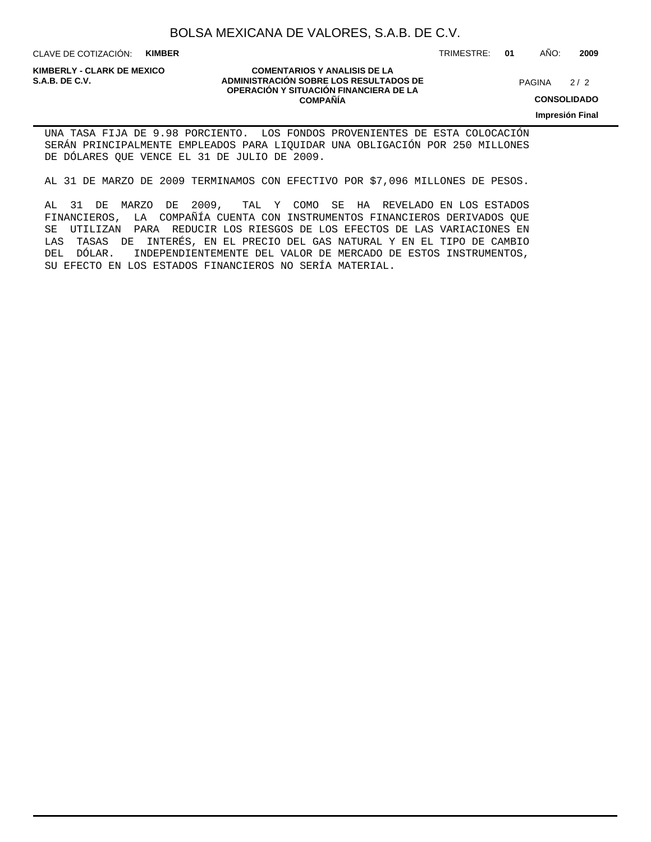CLAVE DE COTIZACIÓN: **KIMBER**

### **COMENTARIOS Y ANALISIS DE LA ADMINISTRACIÓN SOBRE LOS RESULTADOS DE PAGINA 2/2 ADMINISTRACIÓN SOBRE LOS RESULTADOS DE** PAGINA 2/2 **OPERACIÓN Y SITUACIÓN FINANCIERA DE LA COMPAÑÍA**

 $2/2$ 

TRIMESTRE: **01** AÑO: **2009**

**CONSOLIDADO**

**Impresión Final**

UNA TASA FIJA DE 9.98 PORCIENTO. LOS FONDOS PROVENIENTES DE ESTA COLOCACIÓN SERÁN PRINCIPALMENTE EMPLEADOS PARA LIQUIDAR UNA OBLIGACIÓN POR 250 MILLONES DE DÓLARES QUE VENCE EL 31 DE JULIO DE 2009.

AL 31 DE MARZO DE 2009 TERMINAMOS CON EFECTIVO POR \$7,096 MILLONES DE PESOS.

AL 31 DE MARZO DE 2009, TAL Y COMO SE HA REVELADO EN LOS ESTADOS FINANCIEROS, LA COMPAÑÍA CUENTA CON INSTRUMENTOS FINANCIEROS DERIVADOS QUE SE UTILIZAN PARA REDUCIR LOS RIESGOS DE LOS EFECTOS DE LAS VARIACIONES EN LAS TASAS DE INTERÉS, EN EL PRECIO DEL GAS NATURAL Y EN EL TIPO DE CAMBIO DEL DÓLAR. INDEPENDIENTEMENTE DEL VALOR DE MERCADO DE ESTOS INSTRUMENTOS, SU EFECTO EN LOS ESTADOS FINANCIEROS NO SERÍA MATERIAL.

# **KIMBERLY - CLARK DE MEXICO**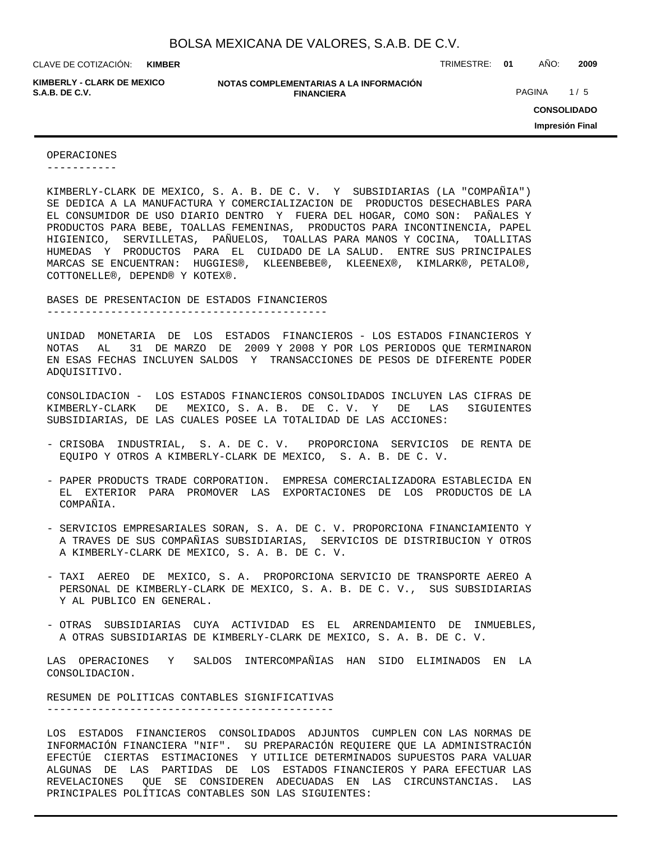**KIMBER**

**KIMBERLY - CLARK DE MEXICO**

**NOTAS COMPLEMENTARIAS A LA INFORMACIÓN FINANCIERA S.A.B. DE C.V.** PAGINA 1/5

CLAVE DE COTIZACIÓN: TRIMESTRE: **01** AÑO: **2009**

**CONSOLIDADO Impresión Final**

### OPERACIONES

-----------

ADQUISITIVO.

KIMBERLY-CLARK DE MEXICO, S. A. B. DE C. V. Y SUBSIDIARIAS (LA "COMPAÑIA") SE DEDICA A LA MANUFACTURA Y COMERCIALIZACION DE PRODUCTOS DESECHABLES PARA EL CONSUMIDOR DE USO DIARIO DENTRO Y FUERA DEL HOGAR, COMO SON: PAÑALES Y PRODUCTOS PARA BEBE, TOALLAS FEMENINAS, PRODUCTOS PARA INCONTINENCIA, PAPEL HIGIENICO, SERVILLETAS, PAÑUELOS, TOALLAS PARA MANOS Y COCINA, TOALLITAS HUMEDAS Y PRODUCTOS PARA EL CUIDADO DE LA SALUD. ENTRE SUS PRINCIPALES MARCAS SE ENCUENTRAN: HUGGIES®, KLEENBEBE®, KLEENEX®, KIMLARK®, PETALO®, COTTONELLE®, DEPEND® Y KOTEX®.

BASES DE PRESENTACION DE ESTADOS FINANCIEROS

--------------------------------------------

UNIDAD MONETARIA DE LOS ESTADOS FINANCIEROS - LOS ESTADOS FINANCIEROS Y NOTAS AL 31 DE MARZO DE 2009 Y 2008 Y POR LOS PERIODOS QUE TERMINARON EN ESAS FECHAS INCLUYEN SALDOS Y TRANSACCIONES DE PESOS DE DIFERENTE PODER

CONSOLIDACION - LOS ESTADOS FINANCIEROS CONSOLIDADOS INCLUYEN LAS CIFRAS DE KIMBERLY-CLARK DE MEXICO, S. A. B. DE C. V. Y DE LAS SIGUIENTES SUBSIDIARIAS, DE LAS CUALES POSEE LA TOTALIDAD DE LAS ACCIONES:

- CRISOBA INDUSTRIAL, S. A. DE C. V. PROPORCIONA SERVICIOS DE RENTA DE EQUIPO Y OTROS A KIMBERLY-CLARK DE MEXICO, S. A. B. DE C. V.
- PAPER PRODUCTS TRADE CORPORATION. EMPRESA COMERCIALIZADORA ESTABLECIDA EN EL EXTERIOR PARA PROMOVER LAS EXPORTACIONES DE LOS PRODUCTOS DE LA COMPAÑIA.
- SERVICIOS EMPRESARIALES SORAN, S. A. DE C. V. PROPORCIONA FINANCIAMIENTO Y A TRAVES DE SUS COMPAÑIAS SUBSIDIARIAS, SERVICIOS DE DISTRIBUCION Y OTROS A KIMBERLY-CLARK DE MEXICO, S. A. B. DE C. V.
- TAXI AEREO DE MEXICO, S. A. PROPORCIONA SERVICIO DE TRANSPORTE AEREO A PERSONAL DE KIMBERLY-CLARK DE MEXICO, S. A. B. DE C. V., SUS SUBSIDIARIAS Y AL PUBLICO EN GENERAL.
- OTRAS SUBSIDIARIAS CUYA ACTIVIDAD ES EL ARRENDAMIENTO DE INMUEBLES, A OTRAS SUBSIDIARIAS DE KIMBERLY-CLARK DE MEXICO, S. A. B. DE C. V.

LAS OPERACIONES Y SALDOS INTERCOMPAÑIAS HAN SIDO ELIMINADOS EN LA CONSOLIDACION.

RESUMEN DE POLITICAS CONTABLES SIGNIFICATIVAS ---------------------------------------------

LOS ESTADOS FINANCIEROS CONSOLIDADOS ADJUNTOS CUMPLEN CON LAS NORMAS DE INFORMACIÓN FINANCIERA "NIF". SU PREPARACIÓN REQUIERE QUE LA ADMINISTRACIÓN EFECTÚE CIERTAS ESTIMACIONES Y UTILICE DETERMINADOS SUPUESTOS PARA VALUAR ALGUNAS DE LAS PARTIDAS DE LOS ESTADOS FINANCIEROS Y PARA EFECTUAR LAS REVELACIONES QUE SE CONSIDEREN ADECUADAS EN LAS CIRCUNSTANCIAS. LAS PRINCIPALES POLÍTICAS CONTABLES SON LAS SIGUIENTES: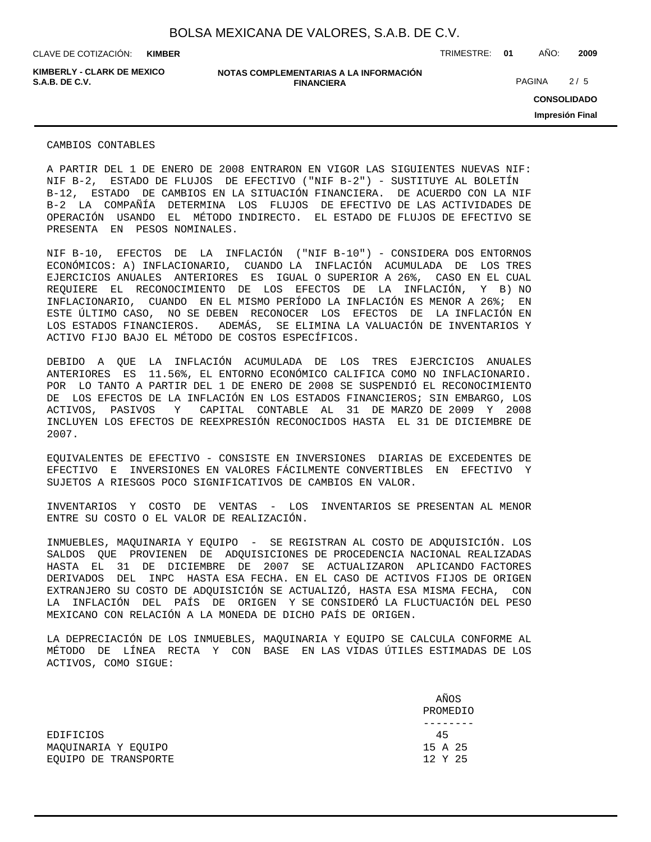**KIMBER**

CLAVE DE COTIZACIÓN: TRIMESTRE: **01** AÑO: **2009**

**KIMBERLY - CLARK DE MEXICO**

**NOTAS COMPLEMENTARIAS A LA INFORMACIÓN FINANCIERA S.A.B. DE C.V.** PAGINA 2 / 5

**CONSOLIDADO Impresión Final**

CAMBIOS CONTABLES

A PARTIR DEL 1 DE ENERO DE 2008 ENTRARON EN VIGOR LAS SIGUIENTES NUEVAS NIF: NIF B-2, ESTADO DE FLUJOS DE EFECTIVO ("NIF B-2") - SUSTITUYE AL BOLETÍN B-12, ESTADO DE CAMBIOS EN LA SITUACIÓN FINANCIERA. DE ACUERDO CON LA NIF B-2 LA COMPAÑÍA DETERMINA LOS FLUJOS DE EFECTIVO DE LAS ACTIVIDADES DE OPERACIÓN USANDO EL MÉTODO INDIRECTO. EL ESTADO DE FLUJOS DE EFECTIVO SE PRESENTA EN PESOS NOMINALES.

NIF B-10, EFECTOS DE LA INFLACIÓN ("NIF B-10") - CONSIDERA DOS ENTORNOS ECONÓMICOS: A) INFLACIONARIO, CUANDO LA INFLACIÓN ACUMULADA DE LOS TRES EJERCICIOS ANUALES ANTERIORES ES IGUAL O SUPERIOR A 26%, CASO EN EL CUAL REQUIERE EL RECONOCIMIENTO DE LOS EFECTOS DE LA INFLACIÓN, Y B) NO INFLACIONARIO, CUANDO EN EL MISMO PERÍODO LA INFLACIÓN ES MENOR A 26%; EN ESTE ÚLTIMO CASO, NO SE DEBEN RECONOCER LOS EFECTOS DE LA INFLACIÓN EN LOS ESTADOS FINANCIEROS. ADEMÁS, SE ELIMINA LA VALUACIÓN DE INVENTARIOS Y ACTIVO FIJO BAJO EL MÉTODO DE COSTOS ESPECÍFICOS.

DEBIDO A QUE LA INFLACIÓN ACUMULADA DE LOS TRES EJERCICIOS ANUALES ANTERIORES ES 11.56%, EL ENTORNO ECONÓMICO CALIFICA COMO NO INFLACIONARIO. POR LO TANTO A PARTIR DEL 1 DE ENERO DE 2008 SE SUSPENDIÓ EL RECONOCIMIENTO DE LOS EFECTOS DE LA INFLACIÓN EN LOS ESTADOS FINANCIEROS; SIN EMBARGO, LOS ACTIVOS, PASIVOS Y CAPITAL CONTABLE AL 31 DE MARZO DE 2009 Y 2008 INCLUYEN LOS EFECTOS DE REEXPRESIÓN RECONOCIDOS HASTA EL 31 DE DICIEMBRE DE 2007.

EQUIVALENTES DE EFECTIVO - CONSISTE EN INVERSIONES DIARIAS DE EXCEDENTES DE EFECTIVO E INVERSIONES EN VALORES FÁCILMENTE CONVERTIBLES EN EFECTIVO Y SUJETOS A RIESGOS POCO SIGNIFICATIVOS DE CAMBIOS EN VALOR.

INVENTARIOS Y COSTO DE VENTAS - LOS INVENTARIOS SE PRESENTAN AL MENOR ENTRE SU COSTO O EL VALOR DE REALIZACIÓN.

INMUEBLES, MAQUINARIA Y EQUIPO - SE REGISTRAN AL COSTO DE ADQUISICIÓN. LOS SALDOS QUE PROVIENEN DE ADQUISICIONES DE PROCEDENCIA NACIONAL REALIZADAS HASTA EL 31 DE DICIEMBRE DE 2007 SE ACTUALIZARON APLICANDO FACTORES DERIVADOS DEL INPC HASTA ESA FECHA. EN EL CASO DE ACTIVOS FIJOS DE ORIGEN EXTRANJERO SU COSTO DE ADQUISICIÓN SE ACTUALIZÓ, HASTA ESA MISMA FECHA, CON LA INFLACIÓN DEL PAÍS DE ORIGEN Y SE CONSIDERÓ LA FLUCTUACIÓN DEL PESO MEXICANO CON RELACIÓN A LA MONEDA DE DICHO PAÍS DE ORIGEN.

LA DEPRECIACIÓN DE LOS INMUEBLES, MAQUINARIA Y EQUIPO SE CALCULA CONFORME AL MÉTODO DE LÍNEA RECTA Y CON BASE EN LAS VIDAS ÚTILES ESTIMADAS DE LOS ACTIVOS, COMO SIGUE:

|                      | AÑOS     |
|----------------------|----------|
|                      | PROMEDIO |
|                      |          |
| <b>EDIFICIOS</b>     | 45       |
| MAOUINARIA Y EOUIPO  | 15 A 25  |
| EOUIPO DE TRANSPORTE | 12 Y 25  |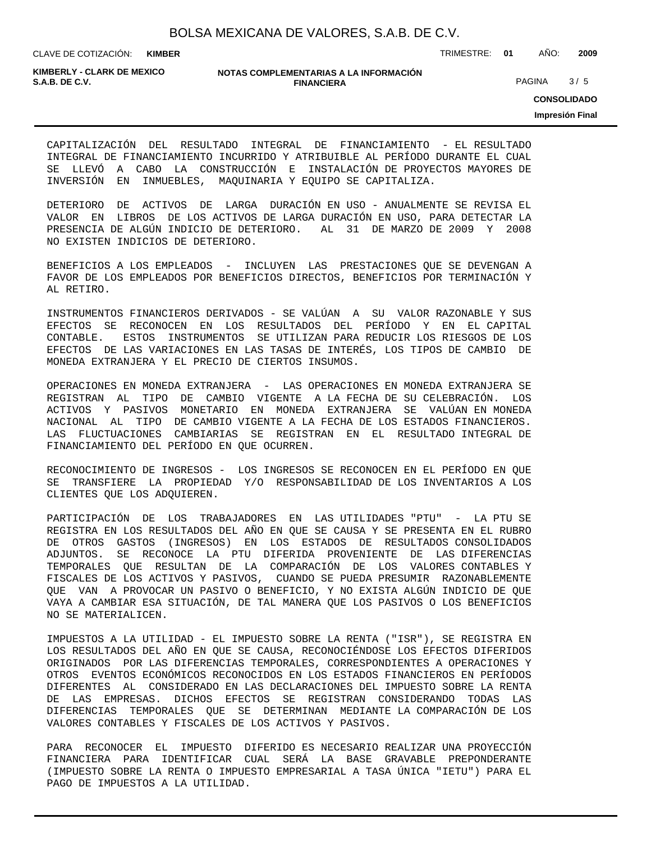**KIMBER**

CLAVE DE COTIZACIÓN: TRIMESTRE: **01** AÑO: **2009**

**KIMBERLY - CLARK DE MEXICO**

### **NOTAS COMPLEMENTARIAS A LA INFORMACIÓN FINANCIERA S.A.B. DE C.V. S.A.B. DE C.V. PAGINA** 3/5

**CONSOLIDADO**

**Impresión Final**

CAPITALIZACIÓN DEL RESULTADO INTEGRAL DE FINANCIAMIENTO - EL RESULTADO INTEGRAL DE FINANCIAMIENTO INCURRIDO Y ATRIBUIBLE AL PERÍODO DURANTE EL CUAL SE LLEVÓ A CABO LA CONSTRUCCIÓN E INSTALACIÓN DE PROYECTOS MAYORES DE INVERSIÓN EN INMUEBLES, MAQUINARIA Y EQUIPO SE CAPITALIZA.

DETERIORO DE ACTIVOS DE LARGA DURACIÓN EN USO - ANUALMENTE SE REVISA EL VALOR EN LIBROS DE LOS ACTIVOS DE LARGA DURACIÓN EN USO, PARA DETECTAR LA PRESENCIA DE ALGÚN INDICIO DE DETERIORO. AL 31 DE MARZO DE 2009 Y 2008 NO EXISTEN INDICIOS DE DETERIORO.

BENEFICIOS A LOS EMPLEADOS - INCLUYEN LAS PRESTACIONES QUE SE DEVENGAN A FAVOR DE LOS EMPLEADOS POR BENEFICIOS DIRECTOS, BENEFICIOS POR TERMINACIÓN Y AL RETIRO.

INSTRUMENTOS FINANCIEROS DERIVADOS - SE VALÚAN A SU VALOR RAZONABLE Y SUS EFECTOS SE RECONOCEN EN LOS RESULTADOS DEL PERÍODO Y EN EL CAPITAL CONTABLE. ESTOS INSTRUMENTOS SE UTILIZAN PARA REDUCIR LOS RIESGOS DE LOS EFECTOS DE LAS VARIACIONES EN LAS TASAS DE INTERÉS, LOS TIPOS DE CAMBIO DE MONEDA EXTRANJERA Y EL PRECIO DE CIERTOS INSUMOS.

OPERACIONES EN MONEDA EXTRANJERA - LAS OPERACIONES EN MONEDA EXTRANJERA SE REGISTRAN AL TIPO DE CAMBIO VIGENTE A LA FECHA DE SU CELEBRACIÓN. LOS ACTIVOS Y PASIVOS MONETARIO EN MONEDA EXTRANJERA SE VALÚAN EN MONEDA NACIONAL AL TIPO DE CAMBIO VIGENTE A LA FECHA DE LOS ESTADOS FINANCIEROS. LAS FLUCTUACIONES CAMBIARIAS SE REGISTRAN EN EL RESULTADO INTEGRAL DE FINANCIAMIENTO DEL PERÍODO EN QUE OCURREN.

RECONOCIMIENTO DE INGRESOS - LOS INGRESOS SE RECONOCEN EN EL PERÍODO EN QUE SE TRANSFIERE LA PROPIEDAD Y/O RESPONSABILIDAD DE LOS INVENTARIOS A LOS CLIENTES QUE LOS ADQUIEREN.

PARTICIPACIÓN DE LOS TRABAJADORES EN LAS UTILIDADES "PTU" - LA PTU SE REGISTRA EN LOS RESULTADOS DEL AÑO EN QUE SE CAUSA Y SE PRESENTA EN EL RUBRO DE OTROS GASTOS (INGRESOS) EN LOS ESTADOS DE RESULTADOS CONSOLIDADOS ADJUNTOS. SE RECONOCE LA PTU DIFERIDA PROVENIENTE DE LAS DIFERENCIAS TEMPORALES QUE RESULTAN DE LA COMPARACIÓN DE LOS VALORES CONTABLES Y FISCALES DE LOS ACTIVOS Y PASIVOS, CUANDO SE PUEDA PRESUMIR RAZONABLEMENTE QUE VAN A PROVOCAR UN PASIVO O BENEFICIO, Y NO EXISTA ALGÚN INDICIO DE QUE VAYA A CAMBIAR ESA SITUACIÓN, DE TAL MANERA QUE LOS PASIVOS O LOS BENEFICIOS NO SE MATERIALICEN.

IMPUESTOS A LA UTILIDAD - EL IMPUESTO SOBRE LA RENTA ("ISR"), SE REGISTRA EN LOS RESULTADOS DEL AÑO EN QUE SE CAUSA, RECONOCIÉNDOSE LOS EFECTOS DIFERIDOS ORIGINADOS POR LAS DIFERENCIAS TEMPORALES, CORRESPONDIENTES A OPERACIONES Y OTROS EVENTOS ECONÓMICOS RECONOCIDOS EN LOS ESTADOS FINANCIEROS EN PERÍODOS DIFERENTES AL CONSIDERADO EN LAS DECLARACIONES DEL IMPUESTO SOBRE LA RENTA DE LAS EMPRESAS. DICHOS EFECTOS SE REGISTRAN CONSIDERANDO TODAS LAS DIFERENCIAS TEMPORALES QUE SE DETERMINAN MEDIANTE LA COMPARACIÓN DE LOS VALORES CONTABLES Y FISCALES DE LOS ACTIVOS Y PASIVOS.

PARA RECONOCER EL IMPUESTO DIFERIDO ES NECESARIO REALIZAR UNA PROYECCIÓN FINANCIERA PARA IDENTIFICAR CUAL SERÁ LA BASE GRAVABLE PREPONDERANTE (IMPUESTO SOBRE LA RENTA O IMPUESTO EMPRESARIAL A TASA ÚNICA "IETU") PARA EL PAGO DE IMPUESTOS A LA UTILIDAD.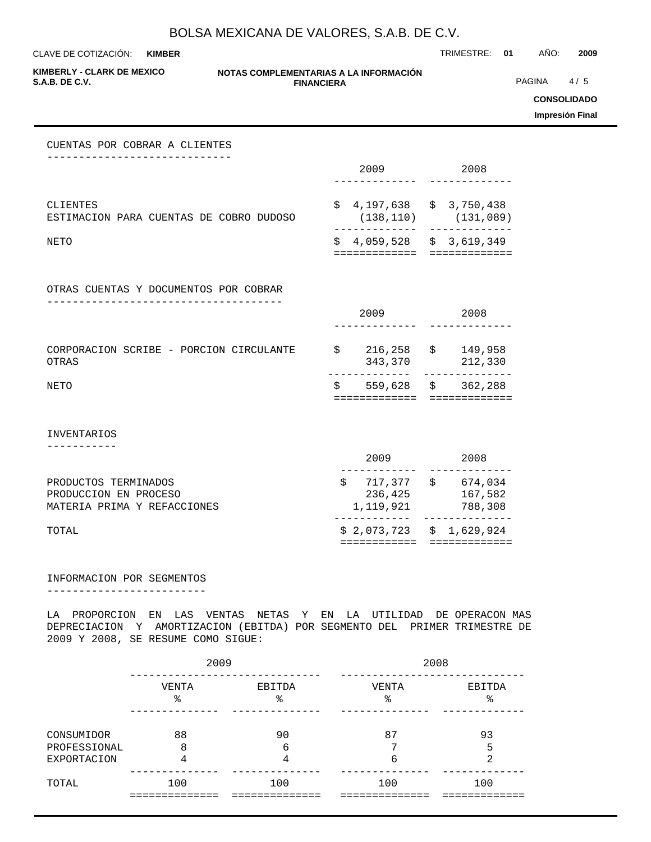CLAVE DE COTIZACIÓN: TRIMESTRE: **01** AÑO: **2009 KIMBER**

**KIMBERLY - CLARK DE MEXICO**

### **NOTAS COMPLEMENTARIAS A LA INFORMACIÓN FINANCIERA S.A.B. DE C.V.** PAGINA 4 / 5

**CONSOLIDADO**

**Impresión Final**

### CUENTAS POR COBRAR A CLIENTES -----------------------------

|                                                     | 2009 |                                         | 2008 |           |
|-----------------------------------------------------|------|-----------------------------------------|------|-----------|
|                                                     |      |                                         |      |           |
| CLIENTES<br>ESTIMACION PARA CUENTAS DE COBRO DUDOSO |      | $$4,197,638 \t$3,750,438$<br>(138, 110) |      | (131,089) |
| NETO                                                |      | $$4,059,528 \t$3,619,349$               |      |           |

OTRAS CUENTAS Y DOCUMENTOS POR COBRAR -------------------------------------

| NETO                                             | S    | 559,628 \$         |                     | 362,288            |  |
|--------------------------------------------------|------|--------------------|---------------------|--------------------|--|
| CORPORACION SCRIBE - PORCION CIRCULANTE<br>OTRAS | Ŝ    | 216,258<br>343,370 | $\ddot{\mathbf{s}}$ | 149,958<br>212,330 |  |
|                                                  | 2009 |                    |                     | 2008               |  |

INVENTARIOS

-----------

| TOTAL                       |           | $$2,073,723$ $$1,629,924$ |
|-----------------------------|-----------|---------------------------|
| MATERIA PRIMA Y REFACCIONES | 1,119,921 | 788,308                   |
| PRODUCCION EN PROCESO       | 236,425   | 167,582                   |
| PRODUCTOS TERMINADOS        | 717,377   | 674,034<br>S              |
|                             |           |                           |
|                             | 2009      | 2008                      |

### INFORMACION POR SEGMENTOS

-------------------------

LA PROPORCION EN LAS VENTAS NETAS Y EN LA UTILIDAD DE OPERACON MAS DEPRECIACION Y AMORTIZACION (EBITDA) POR SEGMENTO DEL PRIMER TRIMESTRE DE 2009 Y 2008, SE RESUME COMO SIGUE:

|                                                  | 2009       |              | 2008        |              |  |
|--------------------------------------------------|------------|--------------|-------------|--------------|--|
|                                                  | VENTA<br>ి | EBITDA<br>ి  | VENTA<br>ిన | EBITDA<br>နွ |  |
| CONSUMIDOR<br>PROFESSIONAL<br><b>EXPORTACION</b> | 88<br>8    | 90<br>6<br>4 | 87<br>6     | 93<br>5<br>⌒ |  |
| TOTAL                                            | 100        | 100          | 100         | 100          |  |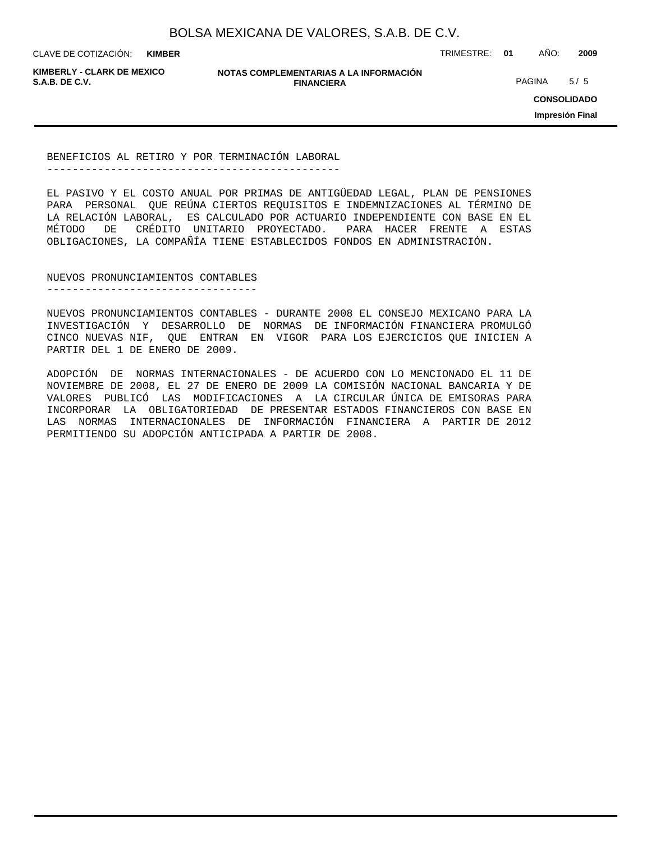**KIMBER**

CLAVE DE COTIZACIÓN: TRIMESTRE: **01** AÑO: **2009**

**KIMBERLY - CLARK DE MEXICO**

**NOTAS COMPLEMENTARIAS A LA INFORMACIÓN FINANCIERA S.A.B. DE C.V.** PAGINA 5 / 5

**CONSOLIDADO**

**Impresión Final**

BENEFICIOS AL RETIRO Y POR TERMINACIÓN LABORAL ----------------------------------------------

EL PASIVO Y EL COSTO ANUAL POR PRIMAS DE ANTIGÜEDAD LEGAL, PLAN DE PENSIONES PARA PERSONAL QUE REÚNA CIERTOS REQUISITOS E INDEMNIZACIONES AL TÉRMINO DE LA RELACIÓN LABORAL, ES CALCULADO POR ACTUARIO INDEPENDIENTE CON BASE EN EL MÉTODO DE CRÉDITO UNITARIO PROYECTADO. PARA HACER FRENTE A ESTAS OBLIGACIONES, LA COMPAÑÍA TIENE ESTABLECIDOS FONDOS EN ADMINISTRACIÓN.

NUEVOS PRONUNCIAMIENTOS CONTABLES ---------------------------------

NUEVOS PRONUNCIAMIENTOS CONTABLES - DURANTE 2008 EL CONSEJO MEXICANO PARA LA INVESTIGACIÓN Y DESARROLLO DE NORMAS DE INFORMACIÓN FINANCIERA PROMULGÓ CINCO NUEVAS NIF, QUE ENTRAN EN VIGOR PARA LOS EJERCICIOS QUE INICIEN A PARTIR DEL 1 DE ENERO DE 2009.

ADOPCIÓN DE NORMAS INTERNACIONALES - DE ACUERDO CON LO MENCIONADO EL 11 DE NOVIEMBRE DE 2008, EL 27 DE ENERO DE 2009 LA COMISIÓN NACIONAL BANCARIA Y DE VALORES PUBLICÓ LAS MODIFICACIONES A LA CIRCULAR ÚNICA DE EMISORAS PARA INCORPORAR LA OBLIGATORIEDAD DE PRESENTAR ESTADOS FINANCIEROS CON BASE EN LAS NORMAS INTERNACIONALES DE INFORMACIÓN FINANCIERA A PARTIR DE 2012 PERMITIENDO SU ADOPCIÓN ANTICIPADA A PARTIR DE 2008.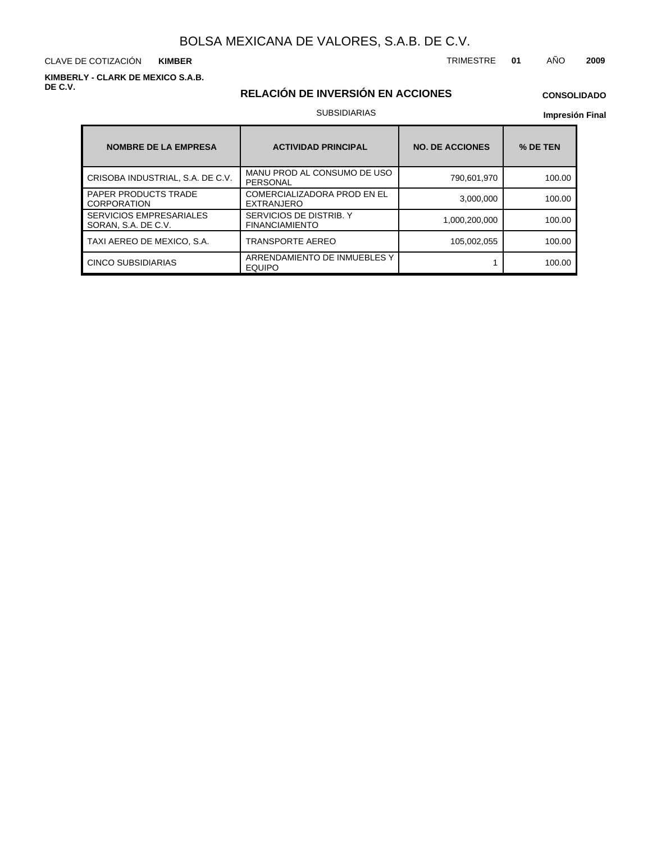CLAVE DE COTIZACIÓN TRIMESTRE **01** AÑO **2009 KIMBER**

**KIMBERLY - CLARK DE MEXICO S.A.B. DE C.V.**

# **RELACIÓN DE INVERSIÓN EN ACCIONES**

## **CONSOLIDADO**

### SUBSIDIARIAS

### **Impresión Final**

| <b>NOMBRE DE LA EMPRESA</b>                           | <b>ACTIVIDAD PRINCIPAL</b>                       | <b>NO. DE ACCIONES</b> | % DE TEN |
|-------------------------------------------------------|--------------------------------------------------|------------------------|----------|
| CRISOBA INDUSTRIAL, S.A. DE C.V.                      | MANU PROD AL CONSUMO DE USO<br><b>PERSONAL</b>   | 790,601,970            | 100.00   |
| <b>PAPER PRODUCTS TRADE</b><br>CORPORATION            | COMERCIALIZADORA PROD EN EL<br>EXTRANJERO        | 3.000.000              | 100.00   |
| <b>SERVICIOS EMPRESARIALES</b><br>SORAN, S.A. DE C.V. | SERVICIOS DE DISTRIB. Y<br><b>FINANCIAMIENTO</b> | 1,000,200,000          | 100.00   |
| TAXI AEREO DE MEXICO. S.A.                            | <b>TRANSPORTE AEREO</b>                          | 105.002.055            | 100.00   |
| CINCO SUBSIDIARIAS                                    | ARRENDAMIENTO DE INMUEBLES Y<br><b>EQUIPO</b>    |                        | 100.00   |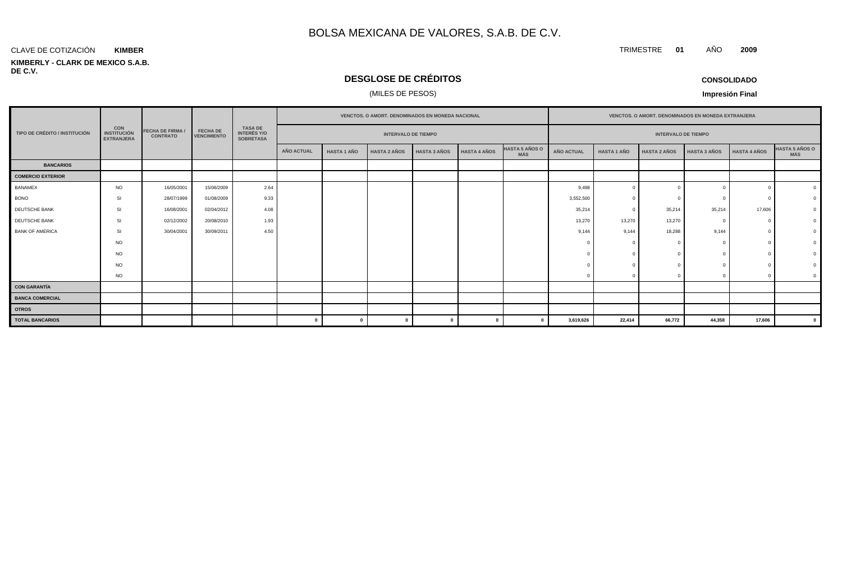### **KIMBERLY - CLARK DE MEXICO S.A.B. DE C.V.** CLAVE DE COTIZACIÓN **KIMBER**

# **DESGLOSE DE CRÉDITOS**

### (MILES DE PESOS)

| <b>CONSOLIDADO</b> |  |
|--------------------|--|
|--------------------|--|

**Impresión Final**

|                                      |                                                       |                                            |                                       |                                                          |                   | VENCTOS. O AMORT. DENOMINADOS EN MONEDA NACIONAL |                     |                     |                     |                                     |                   | VENCTOS. O AMORT. DENOMINADOS EN MONEDA EXTRANJERA |                     |                     |                     |                                     |  |
|--------------------------------------|-------------------------------------------------------|--------------------------------------------|---------------------------------------|----------------------------------------------------------|-------------------|--------------------------------------------------|---------------------|---------------------|---------------------|-------------------------------------|-------------------|----------------------------------------------------|---------------------|---------------------|---------------------|-------------------------------------|--|
| <b>TIPO DE CRÉDITO / INSTITUCIÓN</b> | <b>CON</b><br><b>INSTITUCIÓN</b><br><b>EXTRANJERA</b> | <b>FECHA DE FIRMA /</b><br><b>CONTRATO</b> | <b>FECHA DE</b><br><b>VENCIMIENTO</b> | <b>TASA DE</b><br><b>INTERÉS Y/O</b><br><b>SOBRETASA</b> |                   | <b>INTERVALO DE TIEMPO</b>                       |                     |                     |                     |                                     |                   | <b>INTERVALO DE TIEMPO</b>                         |                     |                     |                     |                                     |  |
|                                      |                                                       |                                            |                                       |                                                          | <b>AÑO ACTUAL</b> | <b>HASTA 1 AÑO</b>                               | <b>HASTA 2 AÑOS</b> | <b>HASTA 3 AÑOS</b> | <b>HASTA 4 AÑOS</b> | <b>HASTA 5 AÑOS O</b><br><b>MÁS</b> | <b>AÑO ACTUAL</b> | <b>HASTA 1 AÑO</b>                                 | <b>HASTA 2 AÑOS</b> | <b>HASTA 3 AÑOS</b> | <b>HASTA 4 AÑOS</b> | <b>HASTA 5 AÑOS O</b><br><b>MÁS</b> |  |
| <b>BANCARIOS</b>                     |                                                       |                                            |                                       |                                                          |                   |                                                  |                     |                     |                     |                                     |                   |                                                    |                     |                     |                     |                                     |  |
| <b>COMERCIO EXTERIOR</b>             |                                                       |                                            |                                       |                                                          |                   |                                                  |                     |                     |                     |                                     |                   |                                                    |                     |                     |                     |                                     |  |
| <b>BANAMEX</b>                       | <b>NO</b>                                             | 16/05/2001                                 | 15/06/2009                            | 2.64                                                     |                   |                                                  |                     |                     |                     |                                     | 9,498             | $\Omega$                                           |                     |                     |                     |                                     |  |
| <b>BONO</b>                          | SI                                                    | 28/07/1999                                 | 01/08/2009                            | 9.33                                                     |                   |                                                  |                     |                     |                     |                                     | 3,552,500         |                                                    |                     |                     | - 0                 |                                     |  |
| DEUTSCHE BANK                        | <b>SI</b>                                             | 16/08/2001                                 | 02/04/2012                            | 4.08                                                     |                   |                                                  |                     |                     |                     |                                     | 35,214            | $\Omega$                                           | 35,214              | 35,214              | 17,606              |                                     |  |
| DEUTSCHE BANK                        | SI                                                    | 02/12/2002                                 | 20/08/2010                            | 1.93                                                     |                   |                                                  |                     |                     |                     |                                     | 13,270            | 13,270                                             | 13,270              | $\Omega$            | $\Omega$            |                                     |  |
| <b>BANK OF AMERICA</b>               | SI                                                    | 30/04/2001                                 | 30/09/2011                            | 4.50                                                     |                   |                                                  |                     |                     |                     |                                     | 9,144             | 9,144                                              | 18,288              | 9,144               |                     |                                     |  |
|                                      | <b>NO</b>                                             |                                            |                                       |                                                          |                   |                                                  |                     |                     |                     |                                     |                   | $\Omega$                                           |                     |                     |                     |                                     |  |
|                                      | <b>NO</b>                                             |                                            |                                       |                                                          |                   |                                                  |                     |                     |                     |                                     |                   |                                                    |                     |                     |                     |                                     |  |
|                                      | <b>NO</b>                                             |                                            |                                       |                                                          |                   |                                                  |                     |                     |                     |                                     |                   |                                                    |                     |                     |                     |                                     |  |
|                                      | <b>NO</b>                                             |                                            |                                       |                                                          |                   |                                                  |                     |                     |                     |                                     |                   |                                                    |                     | $\Omega$            | $\Omega$            |                                     |  |
| <b>CON GARANTÍA</b>                  |                                                       |                                            |                                       |                                                          |                   |                                                  |                     |                     |                     |                                     |                   |                                                    |                     |                     |                     |                                     |  |
| <b>BANCA COMERCIAL</b>               |                                                       |                                            |                                       |                                                          |                   |                                                  |                     |                     |                     |                                     |                   |                                                    |                     |                     |                     |                                     |  |
| <b>OTROS</b>                         |                                                       |                                            |                                       |                                                          |                   |                                                  |                     |                     |                     |                                     |                   |                                                    |                     |                     |                     |                                     |  |
| <b>TOTAL BANCARIOS</b>               |                                                       |                                            |                                       |                                                          | $\Omega$          | $\mathbf{0}$                                     | $\Omega$            |                     |                     |                                     | 3,619,626         | 22,414                                             | 66,772              | 44,358              | 17,606              | $\mathbf{0}$                        |  |

TRIMESTRE **01** AÑO **2009**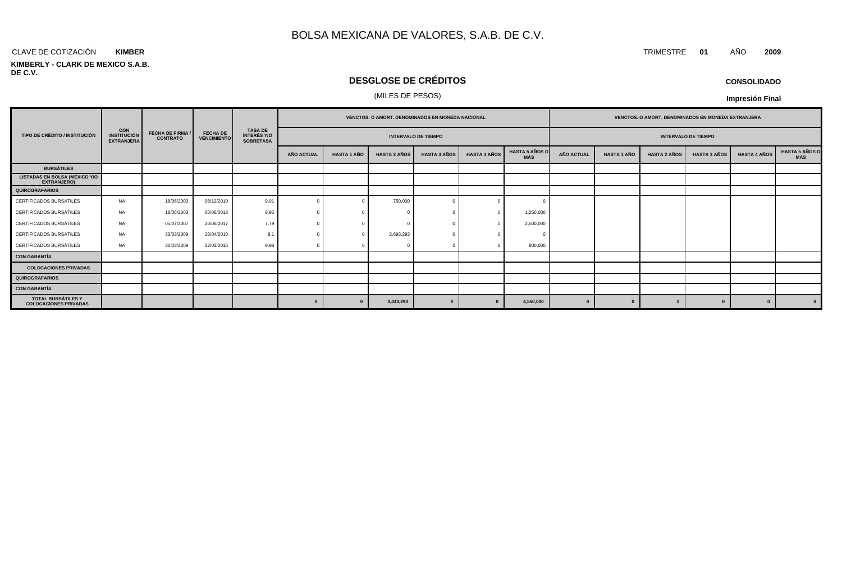### CLAVE DE COTIZACIÓN TRIMESTRE **01** AÑO **2009 KIMBER**

### **KIMBERLY - CLARK DE MEXICO S.A.B. DE C.V.**

# **DESGLOSE DE CRÉDITOS**

### (MILES DE PESOS)

**Impresión Final**

|                                                            |                                                       |                                            |                                       |                                                          |                   | <b>VENCTOS, O AMORT, DENOMINADOS EN MONEDA NACIONAL</b> |                     |                     |                     |                       |                   | <b>VENCTOS, O AMORT, DENOMINADOS EN MONEDA EXTRANJERA</b> |                            |                     |                     |                               |
|------------------------------------------------------------|-------------------------------------------------------|--------------------------------------------|---------------------------------------|----------------------------------------------------------|-------------------|---------------------------------------------------------|---------------------|---------------------|---------------------|-----------------------|-------------------|-----------------------------------------------------------|----------------------------|---------------------|---------------------|-------------------------------|
| TIPO DE CRÉDITO / INSTITUCIÓN                              | <b>CON</b><br><b>INSTITUCIÓN</b><br><b>EXTRANJERA</b> | <b>FECHA DE FIRMA /</b><br><b>CONTRATO</b> | <b>FECHA DE</b><br><b>VENCIMIENTO</b> | <b>TASA DE</b><br><b>INTERÉS Y/O</b><br><b>SOBRETASA</b> |                   | <b>INTERVALO DE TIEMPO</b>                              |                     |                     |                     |                       |                   |                                                           | <b>INTERVALO DE TIEMPO</b> |                     |                     |                               |
|                                                            |                                                       |                                            |                                       |                                                          | <b>AÑO ACTUAL</b> | <b>HASTA 1 AÑO</b>                                      | <b>HASTA 2 AÑOS</b> | <b>HASTA 3 AÑOS</b> | <b>HASTA 4 AÑOS</b> | HASTA 5 AÑOS O<br>MÁS | <b>AÑO ACTUAL</b> | <b>HASTA 1 AÑO</b>                                        | <b>HASTA 2 AÑOS</b>        | <b>HASTA 3 AÑOS</b> | <b>HASTA 4 AÑOS</b> | <b>HASTA 5 AÑOS O<br/>MÁS</b> |
| <b>BURSÁTILES</b>                                          |                                                       |                                            |                                       |                                                          |                   |                                                         |                     |                     |                     |                       |                   |                                                           |                            |                     |                     |                               |
| <b>LISTADAS EN BOLSA (MÉXICO Y/O</b><br><b>EXTRANJERO)</b> |                                                       |                                            |                                       |                                                          |                   |                                                         |                     |                     |                     |                       |                   |                                                           |                            |                     |                     |                               |
| <b>QUIROGRAFARIOS</b>                                      |                                                       |                                            |                                       |                                                          |                   |                                                         |                     |                     |                     |                       |                   |                                                           |                            |                     |                     |                               |
| CERTIFICADOS BURSÁTILES                                    | <b>NA</b>                                             | 18/06/2003                                 | 08/12/2010                            | 9.01                                                     |                   |                                                         | 750,000             |                     |                     |                       |                   |                                                           |                            |                     |                     |                               |
| CERTIFICADOS BURSÁTILES                                    | <b>NA</b>                                             | 18/06/2003                                 | 05/06/2013                            | 8.95                                                     |                   |                                                         |                     |                     |                     | 1,250,000             |                   |                                                           |                            |                     |                     |                               |
| CERTIFICADOS BURSÁTILES                                    | <b>NA</b>                                             | 05/07/2007                                 | 26/06/2017                            | 7.79                                                     |                   |                                                         |                     |                     |                     | 2,500,000             |                   |                                                           |                            |                     |                     |                               |
| CERTIFICADOS BURSÁTILES                                    | <b>NA</b>                                             | 30/03/2009                                 | 26/04/2010                            | 8.1                                                      |                   |                                                         | 2,693,293           |                     |                     |                       |                   |                                                           |                            |                     |                     |                               |
| CERTIFICADOS BURSÁTILES                                    | <b>NA</b>                                             | 30/03/2009                                 | 22/03/2016                            | 9.98                                                     |                   |                                                         |                     |                     |                     | 800,000               |                   |                                                           |                            |                     |                     |                               |
| <b>CON GARANTÍA</b>                                        |                                                       |                                            |                                       |                                                          |                   |                                                         |                     |                     |                     |                       |                   |                                                           |                            |                     |                     |                               |
| <b>COLOCACIONES PRIVADAS</b>                               |                                                       |                                            |                                       |                                                          |                   |                                                         |                     |                     |                     |                       |                   |                                                           |                            |                     |                     |                               |
| QUIROGRAFARIOS                                             |                                                       |                                            |                                       |                                                          |                   |                                                         |                     |                     |                     |                       |                   |                                                           |                            |                     |                     |                               |
| <b>CON GARANTÍA</b>                                        |                                                       |                                            |                                       |                                                          |                   |                                                         |                     |                     |                     |                       |                   |                                                           |                            |                     |                     |                               |
| TOTAL BURSÁTILES Y<br><b>COLOCACIONES PRIVADAS</b>         |                                                       |                                            |                                       |                                                          | $\Omega$          | $\Omega$                                                | 3,443,293           |                     |                     | 4,550,000             |                   |                                                           |                            |                     | $\bf{0}$            | $\mathbf{0}$                  |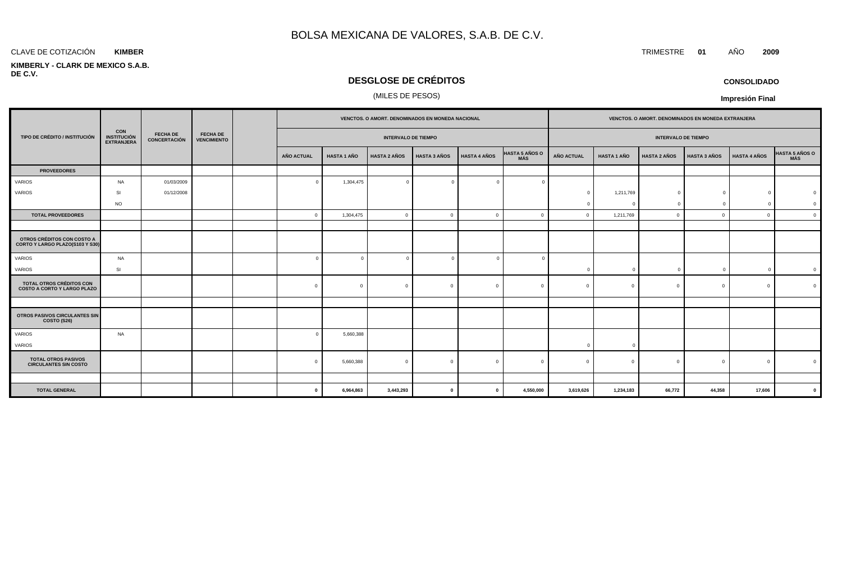### **KIMBER**

### **KIMBERLY - CLARK DE MEXICO S.A.B. DE C.V.**

# **DESGLOSE DE CRÉDITOS**

## (MILES DE PESOS)

|                                                                       |                                                       |                                 |                                       |              |                    | VENCTOS. O AMORT. DENOMINADOS EN MONEDA NACIONAL |                     |                     |                              |                   |                    | VENCTOS. O AMORT. DENOMINADOS EN MONEDA EXTRANJERA |                     |                     |                |
|-----------------------------------------------------------------------|-------------------------------------------------------|---------------------------------|---------------------------------------|--------------|--------------------|--------------------------------------------------|---------------------|---------------------|------------------------------|-------------------|--------------------|----------------------------------------------------|---------------------|---------------------|----------------|
| TIPO DE CRÉDITO / INSTITUCIÓN                                         | <b>CON</b><br><b>INSTITUCIÓN</b><br><b>EXTRANJERA</b> | <b>FECHA DE</b><br>CONCERTACIÓN | <b>FECHA DE</b><br><b>VENCIMIENTO</b> |              |                    | <b>INTERVALO DE TIEMPO</b>                       |                     |                     |                              |                   |                    | <b>INTERVALO DE TIEMPO</b>                         |                     |                     |                |
|                                                                       |                                                       |                                 |                                       | AÑO ACTUAL   | <b>HASTA 1 AÑO</b> | <b>HASTA 2 AÑOS</b>                              | <b>HASTA 3 AÑOS</b> | <b>HASTA 4 AÑOS</b> | <b>HASTA 5 AÑOS O</b><br>MÁS | <b>AÑO ACTUAL</b> | <b>HASTA 1 AÑO</b> | <b>HASTA 2 AÑOS</b>                                | <b>HASTA 3 AÑOS</b> | <b>HASTA 4 AÑOS</b> | HASTA 5 AÑOS O |
| <b>PROVEEDORES</b>                                                    |                                                       |                                 |                                       |              |                    |                                                  |                     |                     |                              |                   |                    |                                                    |                     |                     |                |
| VARIOS                                                                | NA                                                    | 01/03/2009                      |                                       | $\sqrt{ }$   | 1,304,475          | $\overline{0}$                                   | $\Omega$            | $\Omega$            |                              |                   |                    |                                                    |                     |                     |                |
| VARIOS                                                                | SI                                                    | 01/12/2008                      |                                       |              |                    |                                                  |                     |                     |                              | $\Omega$          | 1,211,769          | $\Omega$                                           |                     | $\Omega$            |                |
|                                                                       | <b>NO</b>                                             |                                 |                                       |              |                    |                                                  |                     |                     |                              |                   | - C                | $\mathbf{0}$                                       |                     | $\overline{0}$      |                |
| <b>TOTAL PROVEEDORES</b>                                              |                                                       |                                 |                                       | $\Omega$     | 1,304,475          | $\circ$                                          | $\Omega$            | $\mathbf{0}$        | $\Omega$                     | $\Omega$          | 1,211,769          | $\Omega$                                           | $\Omega$            | $\mathbf{0}$        |                |
|                                                                       |                                                       |                                 |                                       |              |                    |                                                  |                     |                     |                              |                   |                    |                                                    |                     |                     |                |
| OTROS CRÉDITOS CON COSTO A<br>CORTO Y LARGO PLAZO(S103 Y S30)         |                                                       |                                 |                                       |              |                    |                                                  |                     |                     |                              |                   |                    |                                                    |                     |                     |                |
| VARIOS                                                                | NA                                                    |                                 |                                       | $\Omega$     |                    | $\overline{0}$                                   |                     | $\overline{0}$      |                              |                   |                    |                                                    |                     |                     |                |
| VARIOS                                                                | SI                                                    |                                 |                                       |              |                    |                                                  |                     |                     |                              | $\Omega$          | $\Omega$           | $\mathbf 0$                                        |                     | $\overline{0}$      |                |
| <b>TOTAL OTROS CRÉDITOS CON</b><br><b>COSTO A CORTO Y LARGO PLAZO</b> |                                                       |                                 |                                       | $\Omega$     | $\Omega$           | $\mathbf{0}$                                     | $\Omega$            | $\Omega$            | $\Omega$                     |                   |                    | $\Omega$                                           | $\Omega$            | $\Omega$            |                |
|                                                                       |                                                       |                                 |                                       |              |                    |                                                  |                     |                     |                              |                   |                    |                                                    |                     |                     |                |
| OTROS PASIVOS CIRCULANTES SIN<br><b>COSTO (S26)</b>                   |                                                       |                                 |                                       |              |                    |                                                  |                     |                     |                              |                   |                    |                                                    |                     |                     |                |
| VARIOS                                                                | NA                                                    |                                 |                                       |              | 5,660,388          |                                                  |                     |                     |                              |                   |                    |                                                    |                     |                     |                |
| VARIOS                                                                |                                                       |                                 |                                       |              |                    |                                                  |                     |                     |                              | $\Omega$          | $\Omega$           |                                                    |                     |                     |                |
| <b>TOTAL OTROS PASIVOS</b><br><b>CIRCULANTES SIN COSTO</b>            |                                                       |                                 |                                       | $\Omega$     | 5,660,388          | $\overline{0}$                                   | $\Omega$            | $\Omega$            | $\cap$                       |                   |                    | $\Omega$                                           | $\Omega$            | $\mathbf{0}$        |                |
|                                                                       |                                                       |                                 |                                       |              |                    |                                                  |                     |                     |                              |                   |                    |                                                    |                     |                     |                |
| <b>TOTAL GENERAL</b>                                                  |                                                       |                                 |                                       | $\mathbf{0}$ | 6.964.863          | 3.443.293                                        | $\mathbf{0}$        | $\mathbf{0}$        | 4,550,000                    | 3.619.626         | 1,234,183          | 66.772                                             | 44.358              | 17.606              |                |

**CONSOLIDADO**

**Impresión Final**

CLAVE DE COTIZACIÓN TRIMESTRE **01** AÑO **2009**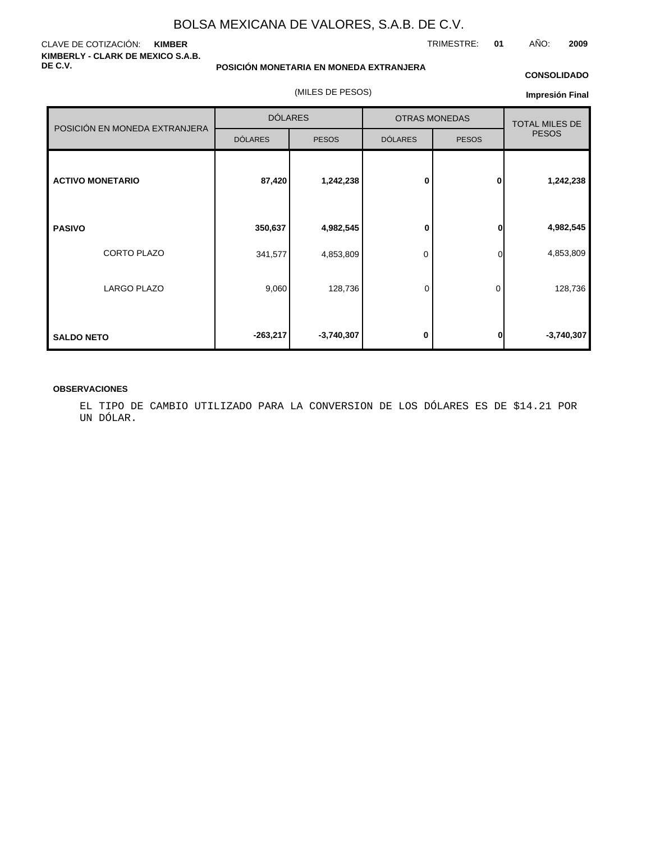### CLAVE DE COTIZACIÓN: **KIMBER KIMBERLY - CLARK DE MEXICO S.A.B. DE C.V.**

**POSICIÓN MONETARIA EN MONEDA EXTRANJERA**

(MILES DE PESOS)

### **CONSOLIDADO**

TRIMESTRE: **01** AÑO: **2009**

**Impresión Final**

| POSICIÓN EN MONEDA EXTRANJERA | <b>DÓLARES</b> |              | <b>OTRAS MONEDAS</b> | <b>TOTAL MILES DE</b> |              |
|-------------------------------|----------------|--------------|----------------------|-----------------------|--------------|
|                               | <b>DÓLARES</b> | <b>PESOS</b> | <b>DÓLARES</b>       | <b>PESOS</b>          | <b>PESOS</b> |
| <b>ACTIVO MONETARIO</b>       | 87,420         | 1,242,238    | $\bf{0}$             | $\mathbf{0}$          | 1,242,238    |
| <b>PASIVO</b>                 | 350,637        | 4,982,545    | 0                    | 0                     | 4,982,545    |
| CORTO PLAZO                   | 341,577        | 4,853,809    | 0                    | 0                     | 4,853,809    |
| <b>LARGO PLAZO</b>            | 9,060          | 128,736      | 0                    | 0                     | 128,736      |
| <b>SALDO NETO</b>             | $-263,217$     | $-3,740,307$ | 0                    | 0                     | $-3,740,307$ |

### **OBSERVACIONES**

EL TIPO DE CAMBIO UTILIZADO PARA LA CONVERSION DE LOS DÓLARES ES DE \$14.21 POR UN DÓLAR.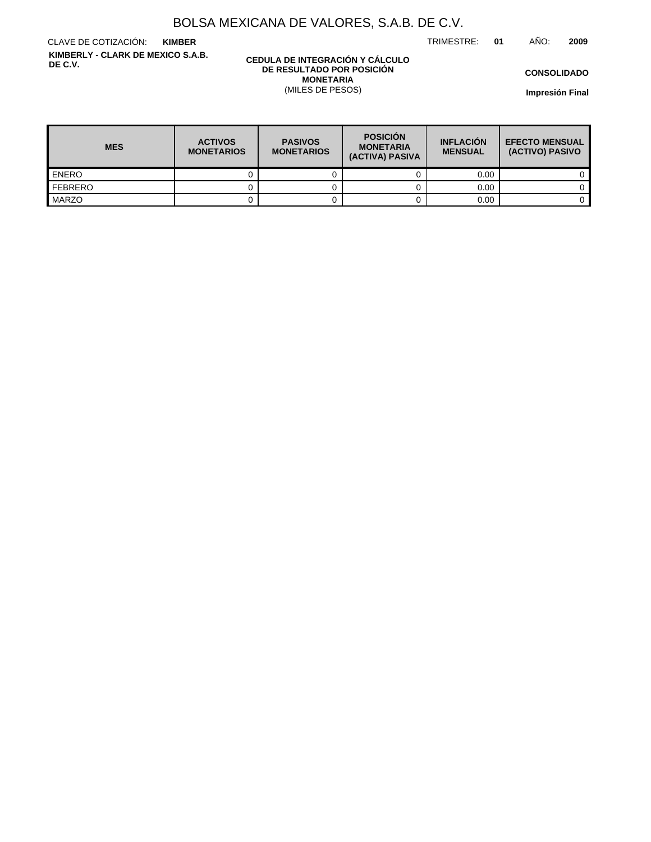TRIMESTRE: **01** AÑO: **2009**

CLAVE DE COTIZACIÓN: **KIMBER KIMBERLY - CLARK DE MEXICO S.A.B. DE C.V.**

### **CEDULA DE INTEGRACIÓN Y CÁLCULO DE RESULTADO POR POSICIÓN MONETARIA** (MILES DE PESOS)

**CONSOLIDADO**

**Impresión Final**

| <b>MES</b>       | <b>ACTIVOS</b><br><b>MONETARIOS</b> | <b>PASIVOS</b><br><b>MONETARIOS</b> | <b>POSICIÓN</b><br><b>MONETARIA</b><br>(ACTIVA) PASIVA | <b>INFLACIÓN</b><br><b>MENSUAL</b> | <b>EFECTO MENSUAL</b><br>(ACTIVO) PASIVO |
|------------------|-------------------------------------|-------------------------------------|--------------------------------------------------------|------------------------------------|------------------------------------------|
| <b>ENERO</b>     |                                     |                                     |                                                        | 0.00                               |                                          |
| <b>I</b> FEBRERO |                                     |                                     |                                                        | 0.00                               |                                          |
| <b>MARZO</b>     |                                     |                                     |                                                        | 0.00                               |                                          |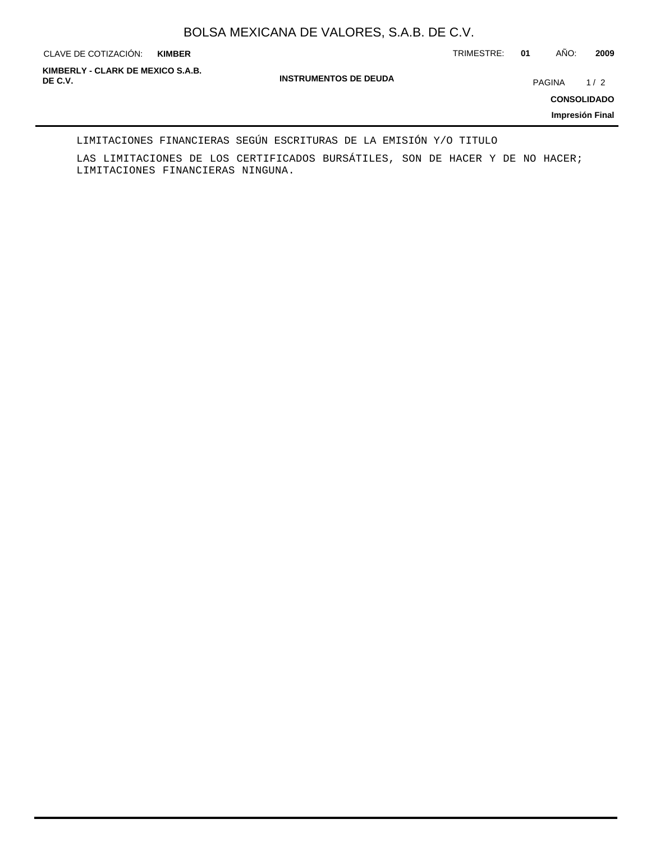**KIMBER**

CLAVE DE COTIZACIÓN: TRIMESTRE: **01** AÑO: **2009**

**INSTRUMENTOS DE DEUDA DE C.V.** PAGINA 1 / 2 **KIMBERLY - CLARK DE MEXICO S.A.B.**

**CONSOLIDADO**

**Impresión Final**

### LIMITACIONES FINANCIERAS SEGÚN ESCRITURAS DE LA EMISIÓN Y/O TITULO

LAS LIMITACIONES DE LOS CERTIFICADOS BURSÁTILES, SON DE HACER Y DE NO HACER; LIMITACIONES FINANCIERAS NINGUNA.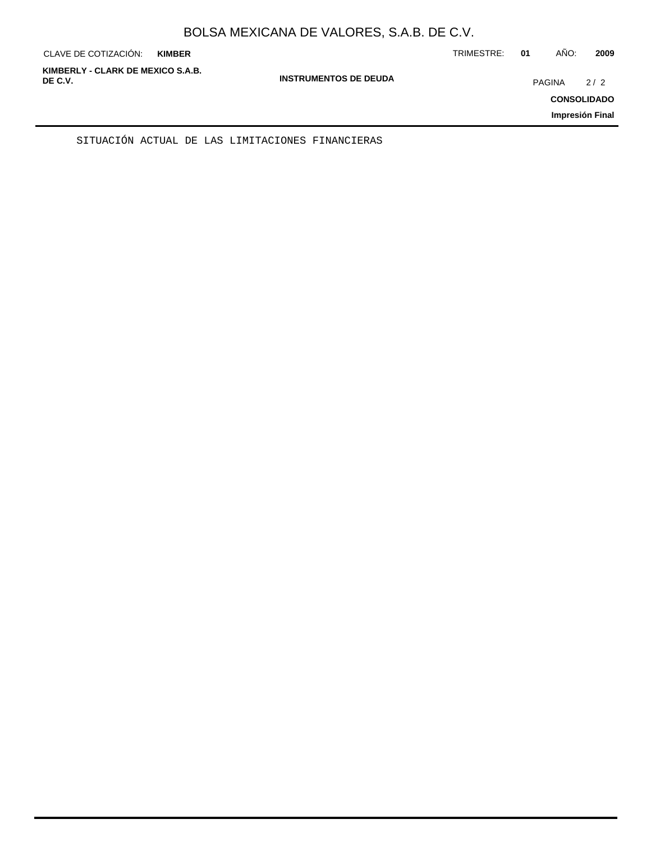| KIMBERLY - CLARK DE MEXICO S.A.B.<br><b>INSTRUMENTOS DE DEUDA</b><br>DE C.V.<br>2/2<br>PAGINA<br><b>CONSOLIDADO</b> | CLAVE DE COTIZACIÓN: | <b>KIMBER</b> | TRIMESTRE: | 01 | AÑO: | 2009 |
|---------------------------------------------------------------------------------------------------------------------|----------------------|---------------|------------|----|------|------|
| Impresión Final                                                                                                     |                      |               |            |    |      |      |

SITUACIÓN ACTUAL DE LAS LIMITACIONES FINANCIERAS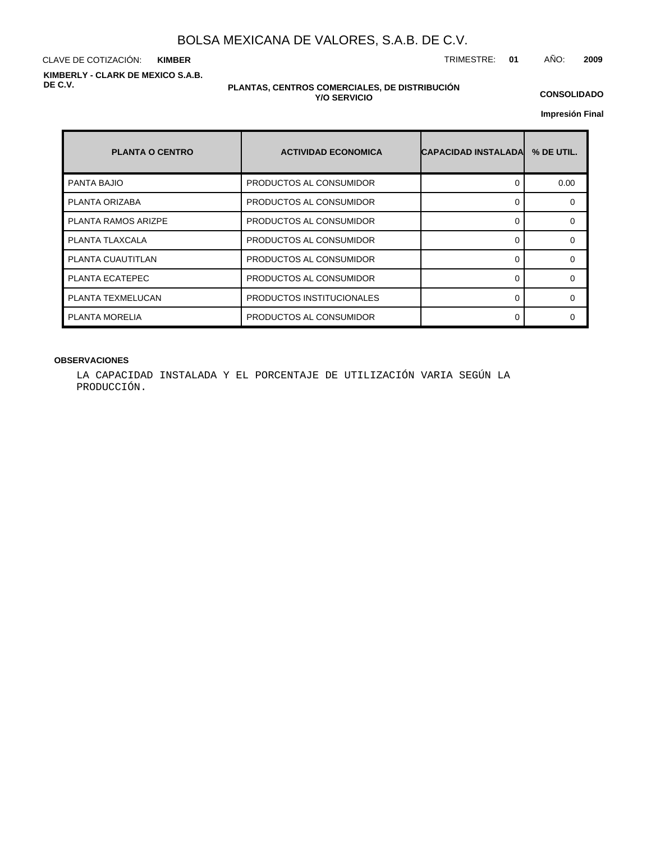CLAVE DE COTIZACIÓN: TRIMESTRE: **01** AÑO: **2009 KIMBER KIMBERLY - CLARK DE MEXICO S.A.B. DE C.V.**

### **PLANTAS, CENTROS COMERCIALES, DE DISTRIBUCIÓN Y/O SERVICIO**

**CONSOLIDADO**

**Impresión Final**

| <b>PLANTA O CENTRO</b>     | <b>ACTIVIDAD ECONOMICA</b> | <b>CAPACIDAD INSTALADA</b> | % DE UTIL. |
|----------------------------|----------------------------|----------------------------|------------|
| <b>PANTA BAJIO</b>         | PRODUCTOS AL CONSUMIDOR    |                            | 0.00       |
| PLANTA ORIZABA             | PRODUCTOS AL CONSUMIDOR    |                            | $\Omega$   |
| <b>PLANTA RAMOS ARIZPE</b> | PRODUCTOS AL CONSUMIDOR    | ∩                          | $\Omega$   |
| PLANTA TLAXCALA            | PRODUCTOS AL CONSUMIDOR    |                            | $\Omega$   |
| PLANTA CUAUTITLAN          | PRODUCTOS AL CONSUMIDOR    |                            | $\Omega$   |
| PLANTA ECATEPEC            | PRODUCTOS AL CONSUMIDOR    | ∩                          | $\Omega$   |
| PLANTA TEXMELUCAN          | PRODUCTOS INSTITUCIONALES  |                            | $\Omega$   |
| <b>PLANTA MORELIA</b>      | PRODUCTOS AL CONSUMIDOR    |                            | ∩          |

### **OBSERVACIONES**

LA CAPACIDAD INSTALADA Y EL PORCENTAJE DE UTILIZACIÓN VARIA SEGÚN LA PRODUCCIÓN.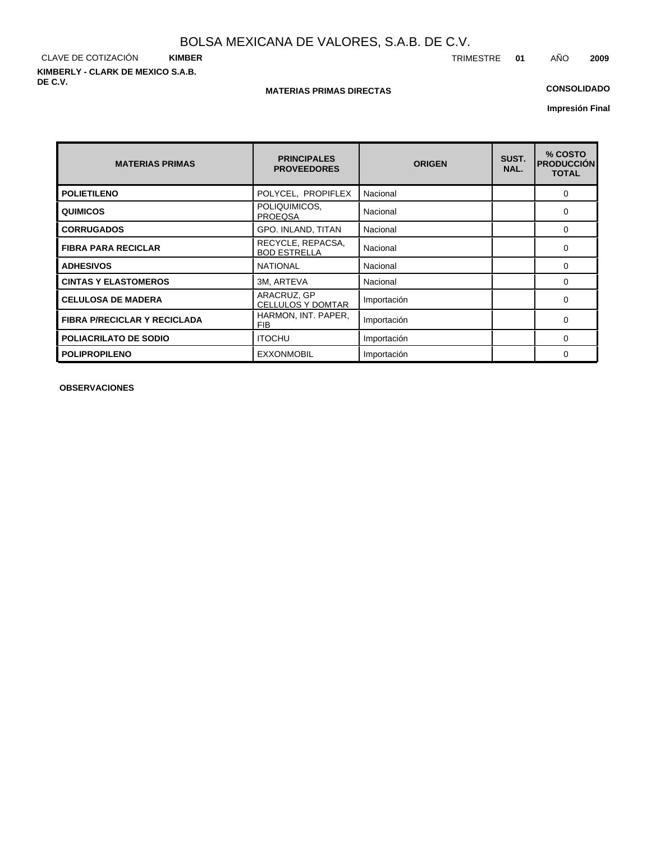CLAVE DE COTIZACIÓN **KIMBER KIMBERLY - CLARK DE MEXICO S.A.B. DE C.V.**

### **MATERIAS PRIMAS DIRECTAS**

## **CONSOLIDADO**

**Impresión Final**

| <b>MATERIAS PRIMAS</b>              | <b>PRINCIPALES</b><br><b>PROVEEDORES</b> | <b>ORIGEN</b> | SUST.<br>NAL. | % COSTO<br><b>PRODUCCIÓN</b><br><b>TOTAL</b> |
|-------------------------------------|------------------------------------------|---------------|---------------|----------------------------------------------|
| <b>POLIETILENO</b>                  | POLYCEL, PROPIFLEX                       | Nacional      |               | $\Omega$                                     |
| <b>QUIMICOS</b>                     | POLIQUIMICOS,<br><b>PROEQSA</b>          | Nacional      |               | 0                                            |
| <b>CORRUGADOS</b>                   | GPO. INLAND, TITAN                       | Nacional      |               | $\Omega$                                     |
| <b>FIBRA PARA RECICLAR</b>          | RECYCLE, REPACSA,<br><b>BOD ESTRELLA</b> | Nacional      |               | 0                                            |
| <b>ADHESIVOS</b>                    | <b>NATIONAL</b>                          | Nacional      |               | $\Omega$                                     |
| <b>CINTAS Y ELASTOMEROS</b>         | 3M, ARTEVA                               | Nacional      |               | 0                                            |
| <b>CELULOSA DE MADERA</b>           | ARACRUZ, GP<br><b>CELLULOS Y DOMTAR</b>  | Importación   |               | 0                                            |
| <b>FIBRA P/RECICLAR Y RECICLADA</b> | HARMON, INT. PAPER,<br><b>FIB</b>        | Importación   |               | 0                                            |
| <b>POLIACRILATO DE SODIO</b>        | <b>ITOCHU</b>                            | Importación   |               | $\Omega$                                     |
| <b>POLIPROPILENO</b>                | <b>EXXONMOBIL</b>                        | Importación   |               | 0                                            |

**OBSERVACIONES**

TRIMESTRE **01** AÑO **2009**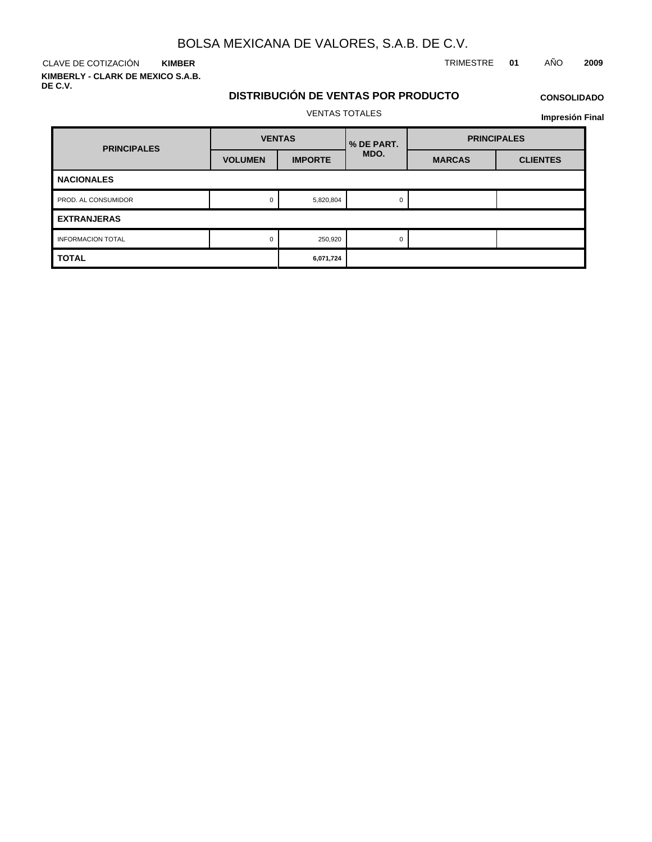CLAVE DE COTIZACIÓN TRIMESTRE **01** AÑO **2009 KIMBER**

**KIMBERLY - CLARK DE MEXICO S.A.B. DE C.V.**

## **DISTRIBUCIÓN DE VENTAS POR PRODUCTO**

# **CONSOLIDADO Impresión Final**

VENTAS TOTALES

**VOLUMEN IMPORTE VENTAS MARCAS CLIENTES PRINCIPALES PRINCIPALES BUDGERS WENTAND WENTER WAS MEDIATE MDO. NACIONALES** PROD. AL CONSUMIDOR 0 5,820,804 0 5,820,804 0 **EXTRANJERAS** INFORMACION TOTAL 0 250,920 0 260,920 0 260,920 0 0 260,920 0 0 260,920 0 0 260,920 0 0 0 0 0 0 0 260,920 0 0 0 **TOTAL 6,071,724**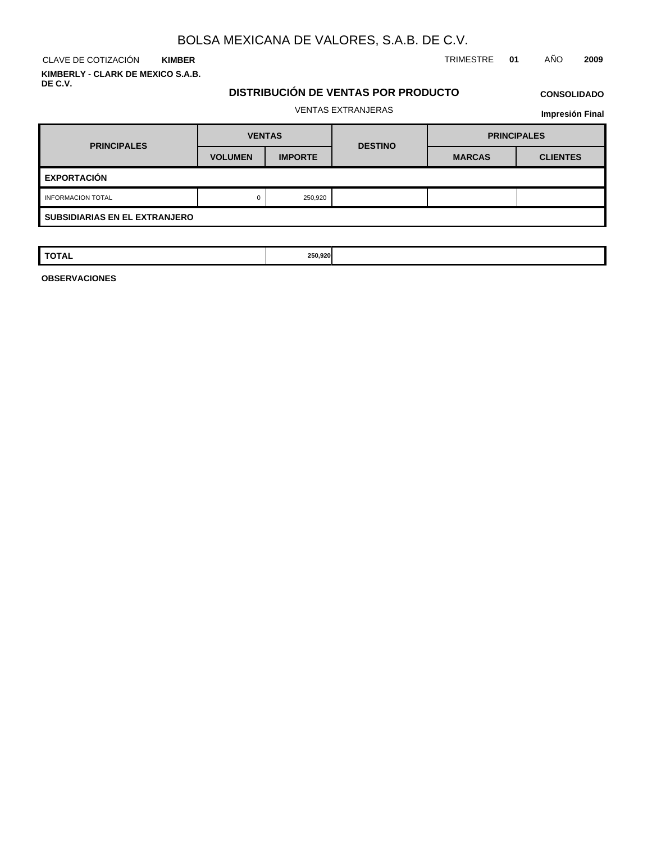**KIMBER KIMBERLY - CLARK DE MEXICO S.A.B. DE C.V.**

CLAVE DE COTIZACIÓN TRIMESTRE **01** AÑO **2009**

# **DISTRIBUCIÓN DE VENTAS POR PRODUCTO**

# **CONSOLIDADO**

## VENTAS EXTRANJERAS

**Impresión Final**

| <b>PRINCIPALES</b>                   | <b>VENTAS</b>  |                | <b>DESTINO</b> | <b>PRINCIPALES</b> |                 |  |  |  |  |  |
|--------------------------------------|----------------|----------------|----------------|--------------------|-----------------|--|--|--|--|--|
|                                      | <b>VOLUMEN</b> | <b>IMPORTE</b> |                | <b>MARCAS</b>      | <b>CLIENTES</b> |  |  |  |  |  |
| <b>EXPORTACIÓN</b>                   |                |                |                |                    |                 |  |  |  |  |  |
| <b>INFORMACION TOTAL</b>             | 0              | 250,920        |                |                    |                 |  |  |  |  |  |
| <b>SUBSIDIARIAS EN EL EXTRANJERO</b> |                |                |                |                    |                 |  |  |  |  |  |

| <b>TOTAL</b> | 250,920 |  |  |
|--------------|---------|--|--|
|              |         |  |  |

**OBSERVACIONES**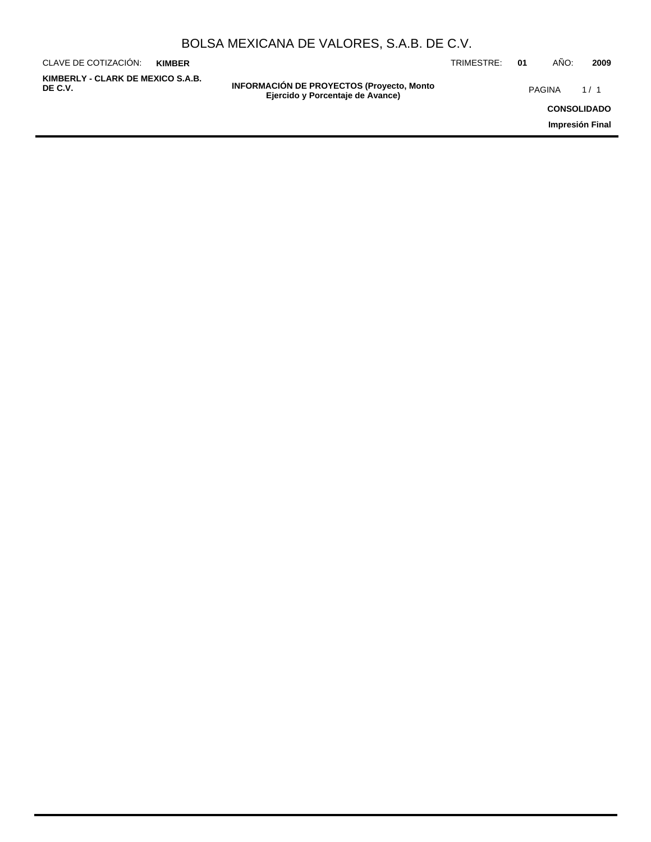| BOLSA MEXICANA DE VALORES, S.A.B. DE C.V. |  |  |  |
|-------------------------------------------|--|--|--|
|-------------------------------------------|--|--|--|

| CLAVE DE COTIZACIÓN:                         | <b>KIMBER</b> |                                                                                       | TRIMESTRE: | 01 | ANO:               | 2009 |
|----------------------------------------------|---------------|---------------------------------------------------------------------------------------|------------|----|--------------------|------|
| KIMBERLY - CLARK DE MEXICO S.A.B.<br>DE C.V. |               | <b>INFORMACIÓN DE PROYECTOS (Proyecto, Monto)</b><br>Ejercido y Porcentaje de Avance) |            |    | <b>PAGINA</b>      | 1/1  |
|                                              |               |                                                                                       |            |    | <b>CONSOLIDADO</b> |      |
|                                              |               |                                                                                       |            |    | Impresión Final    |      |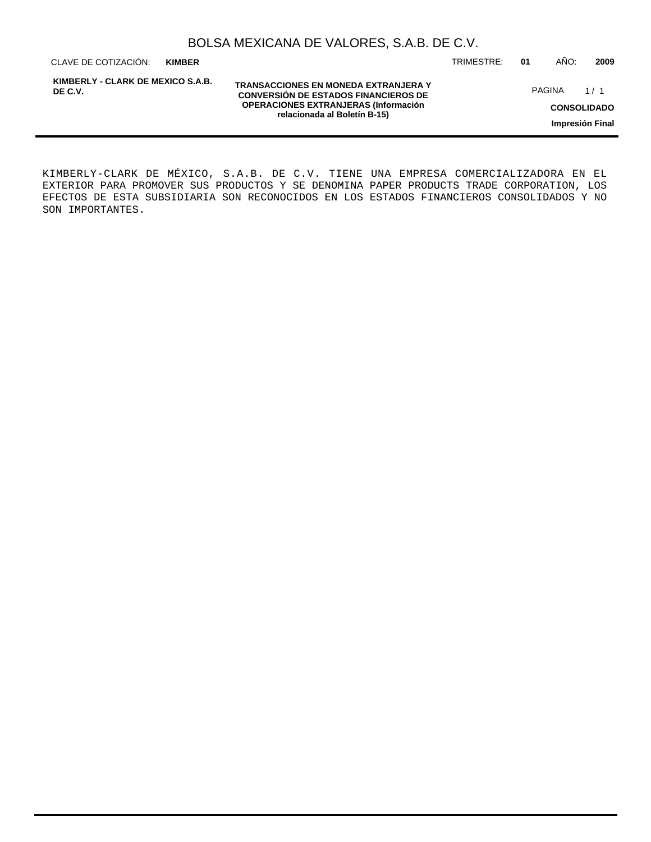| BOLSA MEXICANA DE VALORES, S.A.B. DE C.V. |  |  |  |
|-------------------------------------------|--|--|--|
|-------------------------------------------|--|--|--|

**KIMBER**

**KIMBERLY - CLARK DE MEXICO S.A.B. DE C.V.**

**TRANSACCIONES EN MONEDA EXTRANJERA Y CONVERSIÓN DE ESTADOS FINANCIEROS DE OPERACIONES EXTRANJERAS (Información relacionada al Boletín B-15)**

CLAVE DE COTIZACIÓN: TRIMESTRE: **01** AÑO: **2009**

PAGINA 1/1

**CONSOLIDADO**

**Impresión Final**

KIMBERLY-CLARK DE MÉXICO, S.A.B. DE C.V. TIENE UNA EMPRESA COMERCIALIZADORA EN EL EXTERIOR PARA PROMOVER SUS PRODUCTOS Y SE DENOMINA PAPER PRODUCTS TRADE CORPORATION, LOS EFECTOS DE ESTA SUBSIDIARIA SON RECONOCIDOS EN LOS ESTADOS FINANCIEROS CONSOLIDADOS Y NO SON IMPORTANTES.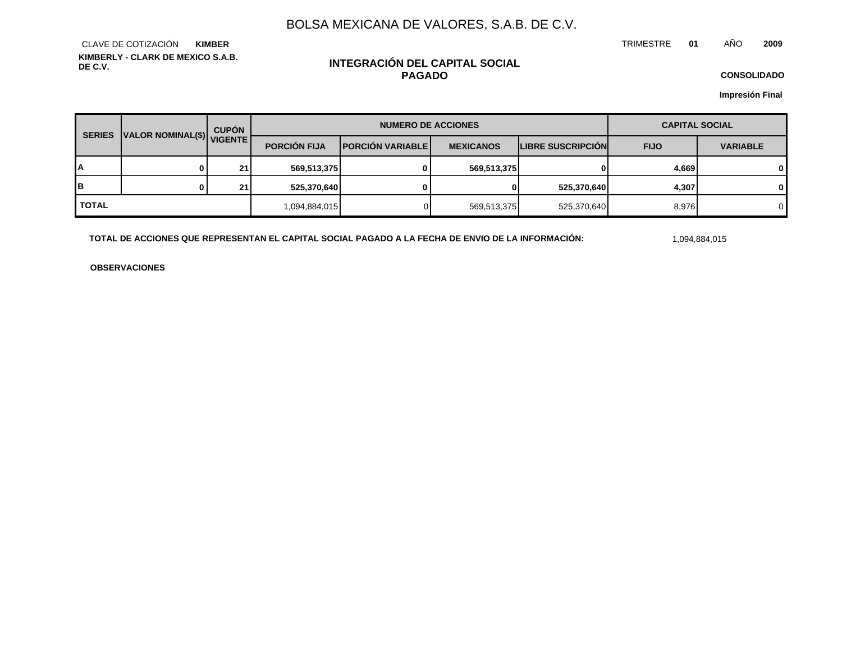TRIMESTRE **01** AÑO **2009**

**KIMBERLY - CLARK DE MEXICO S.A.B. DE C.V.** CLAVE DE COTIZACIÓN **KIMBER**

## **INTEGRACIÓN DEL CAPITAL SOCIAL PAGADO**

**CONSOLIDADO**

**Impresión Final**

| <b>SERIES</b>             |   | <b>CUPÓN</b>        |                         | <b>NUMERO DE ACCIONES</b> |                          |             | <b>CAPITAL SOCIAL</b> |              |
|---------------------------|---|---------------------|-------------------------|---------------------------|--------------------------|-------------|-----------------------|--------------|
| VALOR NOMINAL(\$) VIGENTE |   | <b>PORCIÓN FIJA</b> | <b>PORCIÓN VARIABLE</b> | <b>MEXICANOS</b>          | <b>LIBRE SUSCRIPCION</b> | <b>FIJO</b> | <b>VARIABLE</b>       |              |
| A                         |   | 21                  | 569,513,375             | $\mathbf{0}$              | 569,513,375              |             | 4,669                 | $\mathbf{0}$ |
| B                         | n | 21                  | 525,370,640             | 0                         | 0                        | 525,370,640 | 4,307                 | $\mathbf{0}$ |
| <b>TOTAL</b>              |   |                     | 1,094,884,015           |                           | 569,513,375              | 525,370,640 | 8,976                 | $\Omega$     |

**TOTAL DE ACCIONES QUE REPRESENTAN EL CAPITAL SOCIAL PAGADO A LA FECHA DE ENVIO DE LA INFORMACIÓN:** 1,094,884,015

**OBSERVACIONES**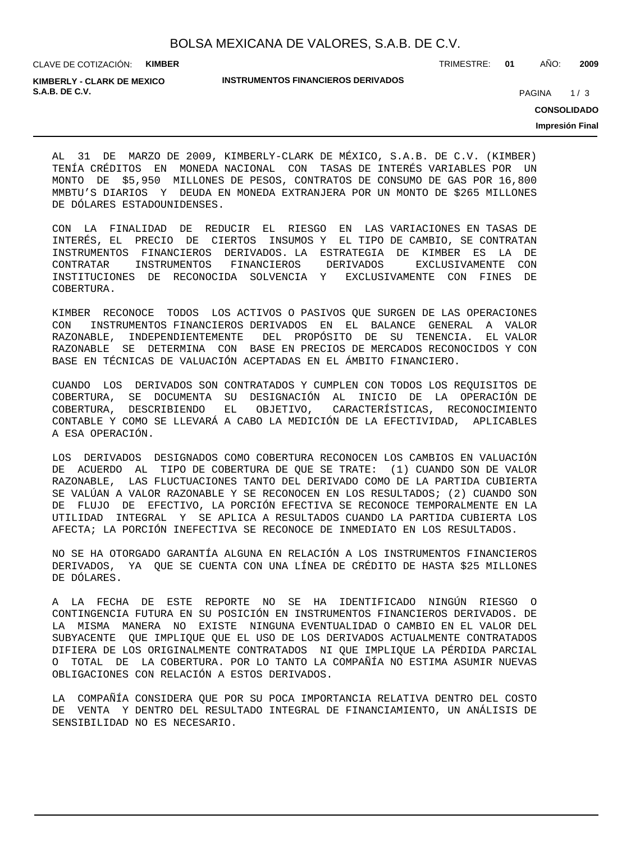CLAVE DE COTIZACIÓN: **KIMBER**

**INSTRUMENTOS FINANCIEROS DERIVADOS**

TRIMESTRE: **01** AÑO: **2009**

**S.A.B. DE C.V.** 2020 **PAGINA 2020** 20:00 **PAGINA 20:00 20:00 PAGINA 20:00 PAGINA** 20:00 **PAGINA KIMBERLY - CLARK DE MEXICO**

**CONSOLIDADO**

**Impresión Final**

AL 31 DE MARZO DE 2009, KIMBERLY-CLARK DE MÉXICO, S.A.B. DE C.V. (KIMBER) TENÍA CRÉDITOS EN MONEDA NACIONAL CON TASAS DE INTERÉS VARIABLES POR UN MONTO DE \$5,950 MILLONES DE PESOS, CONTRATOS DE CONSUMO DE GAS POR 16,800 MMBTU'S DIARIOS Y DEUDA EN MONEDA EXTRANJERA POR UN MONTO DE \$265 MILLONES DE DÓLARES ESTADOUNIDENSES.

CON LA FINALIDAD DE REDUCIR EL RIESGO EN LAS VARIACIONES EN TASAS DE INTERÉS, EL PRECIO DE CIERTOS INSUMOS Y EL TIPO DE CAMBIO, SE CONTRATAN INSTRUMENTOS FINANCIEROS DERIVADOS. LA ESTRATEGIA DE KIMBER ES LA DE CONTRATAR INSTRUMENTOS FINANCIEROS DERIVADOS EXCLUSIVAMENTE CON INSTITUCIONES DE RECONOCIDA SOLVENCIA Y EXCLUSIVAMENTE CON FINES DE COBERTURA.

KIMBER RECONOCE TODOS LOS ACTIVOS O PASIVOS QUE SURGEN DE LAS OPERACIONES CON INSTRUMENTOS FINANCIEROS DERIVADOS EN EL BALANCE GENERAL A VALOR RAZONABLE, INDEPENDIENTEMENTE DEL PROPÓSITO DE SU TENENCIA. EL VALOR RAZONABLE SE DETERMINA CON BASE EN PRECIOS DE MERCADOS RECONOCIDOS Y CON BASE EN TÉCNICAS DE VALUACIÓN ACEPTADAS EN EL ÁMBITO FINANCIERO.

CUANDO LOS DERIVADOS SON CONTRATADOS Y CUMPLEN CON TODOS LOS REQUISITOS DE COBERTURA, SE DOCUMENTA SU DESIGNACIÓN AL INICIO DE LA OPERACIÓN DE COBERTURA, DESCRIBIENDO EL OBJETIVO, CARACTERÍSTICAS, RECONOCIMIENTO CONTABLE Y COMO SE LLEVARÁ A CABO LA MEDICIÓN DE LA EFECTIVIDAD, APLICABLES A ESA OPERACIÓN.

LOS DERIVADOS DESIGNADOS COMO COBERTURA RECONOCEN LOS CAMBIOS EN VALUACIÓN DE ACUERDO AL TIPO DE COBERTURA DE QUE SE TRATE: (1) CUANDO SON DE VALOR RAZONABLE, LAS FLUCTUACIONES TANTO DEL DERIVADO COMO DE LA PARTIDA CUBIERTA SE VALÚAN A VALOR RAZONABLE Y SE RECONOCEN EN LOS RESULTADOS; (2) CUANDO SON DE FLUJO DE EFECTIVO, LA PORCIÓN EFECTIVA SE RECONOCE TEMPORALMENTE EN LA UTILIDAD INTEGRAL Y SE APLICA A RESULTADOS CUANDO LA PARTIDA CUBIERTA LOS AFECTA; LA PORCIÓN INEFECTIVA SE RECONOCE DE INMEDIATO EN LOS RESULTADOS.

NO SE HA OTORGADO GARANTÍA ALGUNA EN RELACIÓN A LOS INSTRUMENTOS FINANCIEROS DERIVADOS, YA QUE SE CUENTA CON UNA LÍNEA DE CRÉDITO DE HASTA \$25 MILLONES DE DÓLARES.

A LA FECHA DE ESTE REPORTE NO SE HA IDENTIFICADO NINGÚN RIESGO O CONTINGENCIA FUTURA EN SU POSICIÓN EN INSTRUMENTOS FINANCIEROS DERIVADOS. DE LA MISMA MANERA NO EXISTE NINGUNA EVENTUALIDAD O CAMBIO EN EL VALOR DEL SUBYACENTE QUE IMPLIQUE QUE EL USO DE LOS DERIVADOS ACTUALMENTE CONTRATADOS DIFIERA DE LOS ORIGINALMENTE CONTRATADOS NI QUE IMPLIQUE LA PÉRDIDA PARCIAL O TOTAL DE LA COBERTURA. POR LO TANTO LA COMPAÑÍA NO ESTIMA ASUMIR NUEVAS OBLIGACIONES CON RELACIÓN A ESTOS DERIVADOS.

LA COMPAÑÍA CONSIDERA QUE POR SU POCA IMPORTANCIA RELATIVA DENTRO DEL COSTO DE VENTA Y DENTRO DEL RESULTADO INTEGRAL DE FINANCIAMIENTO, UN ANÁLISIS DE SENSIBILIDAD NO ES NECESARIO.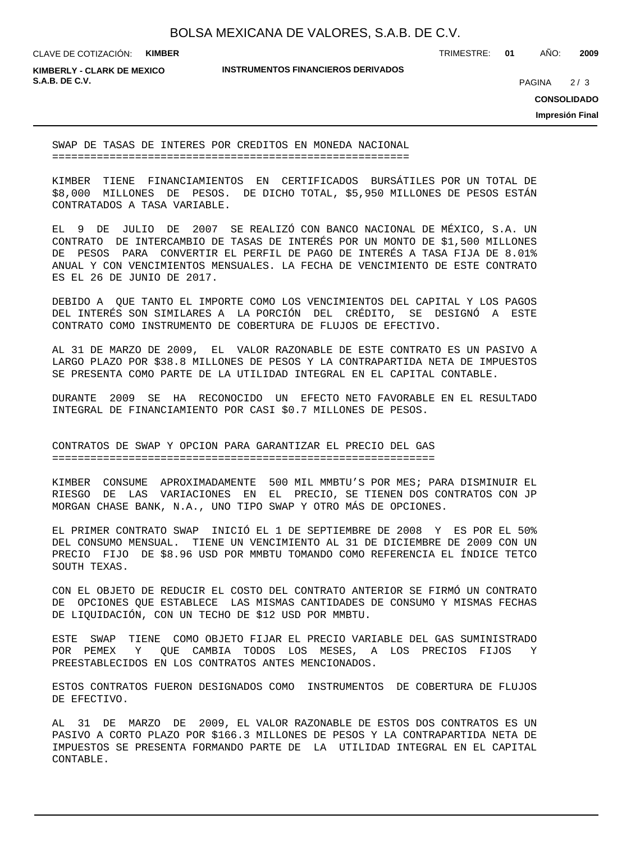CLAVE DE COTIZACIÓN: **KIMBER**

TRIMESTRE: **01** AÑO: **2009**

**KIMBERLY - CLARK DE MEXICO S.A.B. DE C.V.** PAGINA 2/3

**INSTRUMENTOS FINANCIEROS DERIVADOS**

 $2/3$ 

**CONSOLIDADO**

**Impresión Final**

SWAP DE TASAS DE INTERES POR CREDITOS EN MONEDA NACIONAL ========================================================

KIMBER TIENE FINANCIAMIENTOS EN CERTIFICADOS BURSÁTILES POR UN TOTAL DE \$8,000 MILLONES DE PESOS. DE DICHO TOTAL, \$5,950 MILLONES DE PESOS ESTÁN CONTRATADOS A TASA VARIABLE.

EL 9 DE JULIO DE 2007 SE REALIZÓ CON BANCO NACIONAL DE MÉXICO, S.A. UN CONTRATO DE INTERCAMBIO DE TASAS DE INTERÉS POR UN MONTO DE \$1,500 MILLONES DE PESOS PARA CONVERTIR EL PERFIL DE PAGO DE INTERÉS A TASA FIJA DE 8.01% ANUAL Y CON VENCIMIENTOS MENSUALES. LA FECHA DE VENCIMIENTO DE ESTE CONTRATO ES EL 26 DE JUNIO DE 2017.

DEBIDO A QUE TANTO EL IMPORTE COMO LOS VENCIMIENTOS DEL CAPITAL Y LOS PAGOS DEL INTERÉS SON SIMILARES A LA PORCIÓN DEL CRÉDITO, SE DESIGNÓ A ESTE CONTRATO COMO INSTRUMENTO DE COBERTURA DE FLUJOS DE EFECTIVO.

AL 31 DE MARZO DE 2009, EL VALOR RAZONABLE DE ESTE CONTRATO ES UN PASIVO A LARGO PLAZO POR \$38.8 MILLONES DE PESOS Y LA CONTRAPARTIDA NETA DE IMPUESTOS SE PRESENTA COMO PARTE DE LA UTILIDAD INTEGRAL EN EL CAPITAL CONTABLE.

DURANTE 2009 SE HA RECONOCIDO UN EFECTO NETO FAVORABLE EN EL RESULTADO INTEGRAL DE FINANCIAMIENTO POR CASI \$0.7 MILLONES DE PESOS.

CONTRATOS DE SWAP Y OPCION PARA GARANTIZAR EL PRECIO DEL GAS ============================================================

KIMBER CONSUME APROXIMADAMENTE 500 MIL MMBTU'S POR MES; PARA DISMINUIR EL RIESGO DE LAS VARIACIONES EN EL PRECIO, SE TIENEN DOS CONTRATOS CON JP MORGAN CHASE BANK, N.A., UNO TIPO SWAP Y OTRO MÁS DE OPCIONES.

EL PRIMER CONTRATO SWAP INICIÓ EL 1 DE SEPTIEMBRE DE 2008 Y ES POR EL 50% DEL CONSUMO MENSUAL. TIENE UN VENCIMIENTO AL 31 DE DICIEMBRE DE 2009 CON UN PRECIO FIJO DE \$8.96 USD POR MMBTU TOMANDO COMO REFERENCIA EL ÍNDICE TETCO SOUTH TEXAS.

CON EL OBJETO DE REDUCIR EL COSTO DEL CONTRATO ANTERIOR SE FIRMÓ UN CONTRATO DE OPCIONES QUE ESTABLECE LAS MISMAS CANTIDADES DE CONSUMO Y MISMAS FECHAS DE LIQUIDACIÓN, CON UN TECHO DE \$12 USD POR MMBTU.

ESTE SWAP TIENE COMO OBJETO FIJAR EL PRECIO VARIABLE DEL GAS SUMINISTRADO POR PEMEX Y QUE CAMBIA TODOS LOS MESES, A LOS PRECIOS FIJOS Y PREESTABLECIDOS EN LOS CONTRATOS ANTES MENCIONADOS.

ESTOS CONTRATOS FUERON DESIGNADOS COMO INSTRUMENTOS DE COBERTURA DE FLUJOS DE EFECTIVO.

AL 31 DE MARZO DE 2009, EL VALOR RAZONABLE DE ESTOS DOS CONTRATOS ES UN PASIVO A CORTO PLAZO POR \$166.3 MILLONES DE PESOS Y LA CONTRAPARTIDA NETA DE IMPUESTOS SE PRESENTA FORMANDO PARTE DE LA UTILIDAD INTEGRAL EN EL CAPITAL CONTABLE.